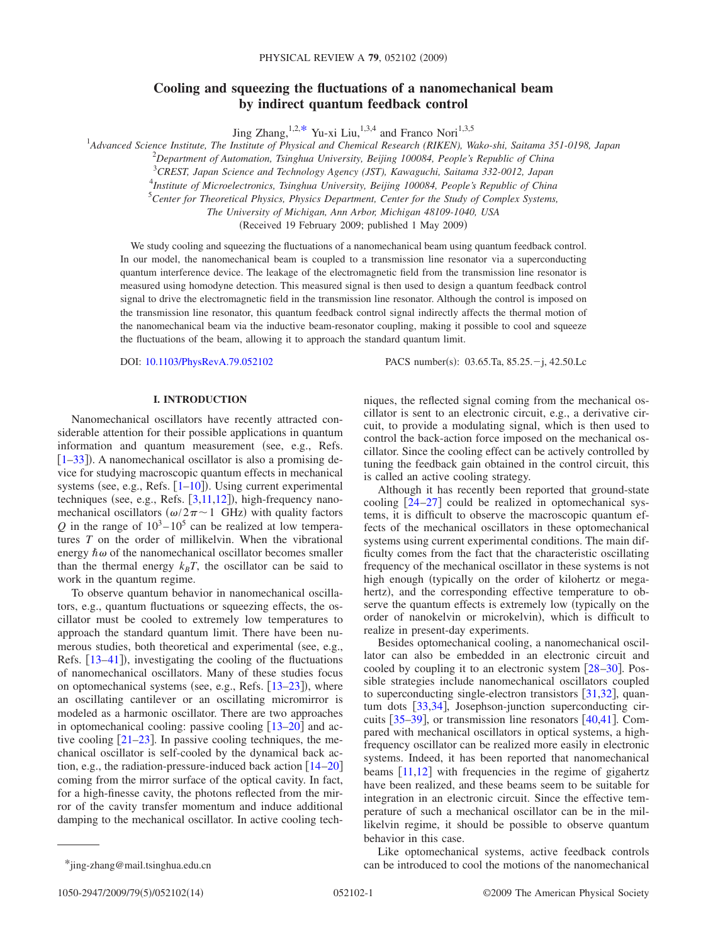# **Cooling and squeezing the fluctuations of a nanomechanical beam by indirect quantum feedback control**

Jing Zhang,  $1,2,*$  $1,2,*$  Yu-xi Liu,  $1,3,4$  and Franco Nori $1,3,5$ 

1 *Advanced Science Institute, The Institute of Physical and Chemical Research (RIKEN), Wako-shi, Saitama 351-0198, Japan*

2 *Department of Automation, Tsinghua University, Beijing 100084, People's Republic of China*

3 *CREST, Japan Science and Technology Agency (JST), Kawaguchi, Saitama 332-0012, Japan*

4 *Institute of Microelectronics, Tsinghua University, Beijing 100084, People's Republic of China*

5 *Center for Theoretical Physics, Physics Department, Center for the Study of Complex Systems,*

*The University of Michigan, Ann Arbor, Michigan 48109-1040, USA*

(Received 19 February 2009; published 1 May 2009)

We study cooling and squeezing the fluctuations of a nanomechanical beam using quantum feedback control. In our model, the nanomechanical beam is coupled to a transmission line resonator via a superconducting quantum interference device. The leakage of the electromagnetic field from the transmission line resonator is measured using homodyne detection. This measured signal is then used to design a quantum feedback control signal to drive the electromagnetic field in the transmission line resonator. Although the control is imposed on the transmission line resonator, this quantum feedback control signal indirectly affects the thermal motion of the nanomechanical beam via the inductive beam-resonator coupling, making it possible to cool and squeeze the fluctuations of the beam, allowing it to approach the standard quantum limit.

DOI: [10.1103/PhysRevA.79.052102](http://dx.doi.org/10.1103/PhysRevA.79.052102)

PACS number(s):  $03.65$ Ta,  $85.25 - j$ , 42.50.Lc

# **I. INTRODUCTION**

Nanomechanical oscillators have recently attracted considerable attention for their possible applications in quantum information and quantum measurement (see, e.g., Refs. [[1–](#page-12-0)[33](#page-12-1)]). A nanomechanical oscillator is also a promising device for studying macroscopic quantum effects in mechanical systems (see, e.g., Refs.  $[1-10]$  $[1-10]$  $[1-10]$ ). Using current experimental techniques (see, e.g., Refs.  $[3,11,12]$  $[3,11,12]$  $[3,11,12]$  $[3,11,12]$  $[3,11,12]$ ), high-frequency nanomechanical oscillators ( $\omega/2\pi \sim 1$  GHz) with quality factors *Q* in the range of  $10^3 - 10^5$  can be realized at low temperatures *T* on the order of millikelvin. When the vibrational energy  $\hbar \omega$  of the nanomechanical oscillator becomes smaller than the thermal energy  $k_B T$ , the oscillator can be said to work in the quantum regime.

To observe quantum behavior in nanomechanical oscillators, e.g., quantum fluctuations or squeezing effects, the oscillator must be cooled to extremely low temperatures to approach the standard quantum limit. There have been numerous studies, both theoretical and experimental (see, e.g., Refs.  $[13-41]$  $[13-41]$  $[13-41]$ ), investigating the cooling of the fluctuations of nanomechanical oscillators. Many of these studies focus on optomechanical systems (see, e.g., Refs.  $[13-23]$  $[13-23]$  $[13-23]$ ), where an oscillating cantilever or an oscillating micromirror is modeled as a harmonic oscillator. There are two approaches in optomechanical cooling: passive cooling  $\lceil 13-20 \rceil$  $\lceil 13-20 \rceil$  $\lceil 13-20 \rceil$  and active cooling  $[21-23]$  $[21-23]$  $[21-23]$ . In passive cooling techniques, the mechanical oscillator is self-cooled by the dynamical back action, e.g., the radiation-pressure-induced back action  $[14–20]$  $[14–20]$  $[14–20]$  $[14–20]$ coming from the mirror surface of the optical cavity. In fact, for a high-finesse cavity, the photons reflected from the mirror of the cavity transfer momentum and induce additional damping to the mechanical oscillator. In active cooling techniques, the reflected signal coming from the mechanical oscillator is sent to an electronic circuit, e.g., a derivative circuit, to provide a modulating signal, which is then used to control the back-action force imposed on the mechanical oscillator. Since the cooling effect can be actively controlled by tuning the feedback gain obtained in the control circuit, this is called an active cooling strategy.

Although it has recently been reported that ground-state cooling  $[24-27]$  $[24-27]$  $[24-27]$  could be realized in optomechanical systems, it is difficult to observe the macroscopic quantum effects of the mechanical oscillators in these optomechanical systems using current experimental conditions. The main difficulty comes from the fact that the characteristic oscillating frequency of the mechanical oscillator in these systems is not high enough (typically on the order of kilohertz or megahertz), and the corresponding effective temperature to observe the quantum effects is extremely low (typically on the order of nanokelvin or microkelvin), which is difficult to realize in present-day experiments.

Besides optomechanical cooling, a nanomechanical oscillator can also be embedded in an electronic circuit and cooled by coupling it to an electronic system  $[28-30]$  $[28-30]$  $[28-30]$ . Possible strategies include nanomechanical oscillators coupled to superconducting single-electron transistors  $\lceil 31,32 \rceil$  $\lceil 31,32 \rceil$  $\lceil 31,32 \rceil$  $\lceil 31,32 \rceil$ , quan-tum dots [[33](#page-12-1)[,34](#page-12-17)], Josephson-junction superconducting circuits  $\left[35-39\right]$  $\left[35-39\right]$  $\left[35-39\right]$ , or transmission line resonators  $\left[40,41\right]$  $\left[40,41\right]$  $\left[40,41\right]$  $\left[40,41\right]$ . Compared with mechanical oscillators in optical systems, a highfrequency oscillator can be realized more easily in electronic systems. Indeed, it has been reported that nanomechanical beams  $[11,12]$  $[11,12]$  $[11,12]$  $[11,12]$  with frequencies in the regime of gigahertz have been realized, and these beams seem to be suitable for integration in an electronic circuit. Since the effective temperature of such a mechanical oscillator can be in the millikelvin regime, it should be possible to observe quantum behavior in this case.

Like optomechanical systems, active feedback controls \*jing-zhang@mail.tsinghua.edu.cn can be introduced to cool the motions of the nanomechanical

<span id="page-0-0"></span>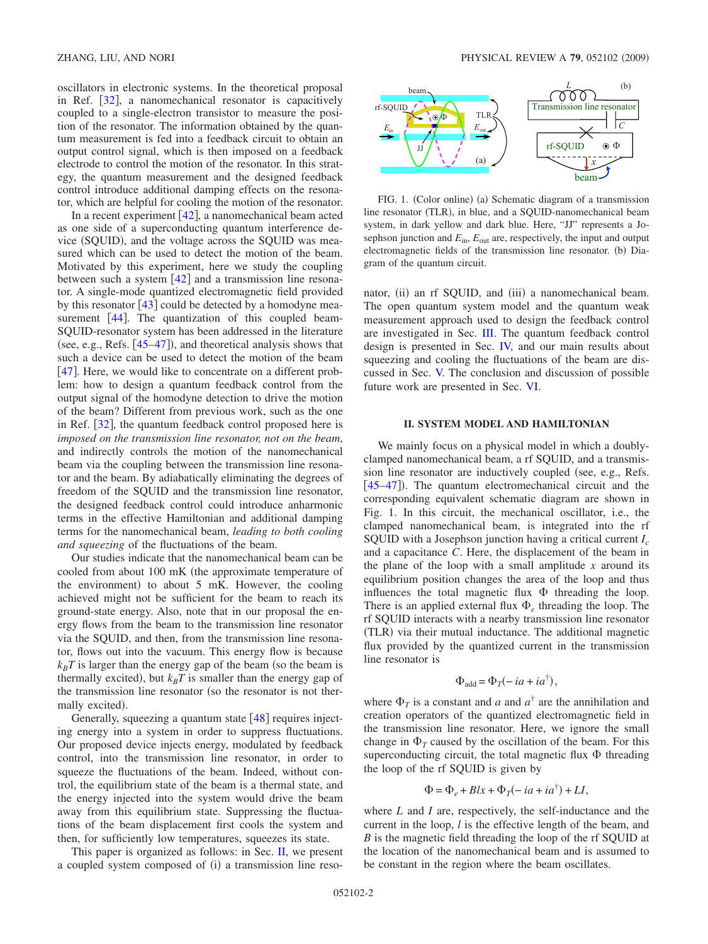oscillators in electronic systems. In the theoretical proposal in Ref.  $\lceil 32 \rceil$  $\lceil 32 \rceil$  $\lceil 32 \rceil$ , a nanomechanical resonator is capacitively coupled to a single-electron transistor to measure the position of the resonator. The information obtained by the quantum measurement is fed into a feedback circuit to obtain an output control signal, which is then imposed on a feedback electrode to control the motion of the resonator. In this strategy, the quantum measurement and the designed feedback control introduce additional damping effects on the resonator, which are helpful for cooling the motion of the resonator.

In a recent experiment  $[42]$  $[42]$  $[42]$ , a nanomechanical beam acted as one side of a superconducting quantum interference device (SQUID), and the voltage across the SQUID was measured which can be used to detect the motion of the beam. Motivated by this experiment, here we study the coupling between such a system  $[42]$  $[42]$  $[42]$  and a transmission line resonator. A single-mode quantized electromagnetic field provided by this resonator  $[43]$  $[43]$  $[43]$  could be detected by a homodyne measurement  $[44]$  $[44]$  $[44]$ . The quantization of this coupled beam-SQUID-resonator system has been addressed in the literature (see, e.g., Refs.  $[45-47]$  $[45-47]$  $[45-47]$ ), and theoretical analysis shows that such a device can be used to detect the motion of the beam [[47](#page-13-8)]. Here, we would like to concentrate on a different problem: how to design a quantum feedback control from the output signal of the homodyne detection to drive the motion of the beam? Different from previous work, such as the one in Ref. [[32](#page-12-16)], the quantum feedback control proposed here is *imposed on the transmission line resonator, not on the beam*, and indirectly controls the motion of the nanomechanical beam via the coupling between the transmission line resonator and the beam. By adiabatically eliminating the degrees of freedom of the SQUID and the transmission line resonator, the designed feedback control could introduce anharmonic terms in the effective Hamiltonian and additional damping terms for the nanomechanical beam, *leading to both cooling and squeezing* of the fluctuations of the beam.

Our studies indicate that the nanomechanical beam can be cooled from about 100 mK (the approximate temperature of the environment) to about 5 mK. However, the cooling achieved might not be sufficient for the beam to reach its ground-state energy. Also, note that in our proposal the energy flows from the beam to the transmission line resonator via the SQUID, and then, from the transmission line resonator, flows out into the vacuum. This energy flow is because  $k_B T$  is larger than the energy gap of the beam (so the beam is thermally excited), but  $k_B T$  is smaller than the energy gap of the transmission line resonator (so the resonator is not thermally excited).

Generally, squeezing a quantum state  $[48]$  $[48]$  $[48]$  requires injecting energy into a system in order to suppress fluctuations. Our proposed device injects energy, modulated by feedback control, into the transmission line resonator, in order to squeeze the fluctuations of the beam. Indeed, without control, the equilibrium state of the beam is a thermal state, and the energy injected into the system would drive the beam away from this equilibrium state. Suppressing the fluctuations of the beam displacement first cools the system and then, for sufficiently low temperatures, squeezes its state.

This paper is organized as follows: in Sec.  $\Pi$ , we present a coupled system composed of (i) a transmission line reso-

<span id="page-1-1"></span>

FIG. 1. (Color online) (a) Schematic diagram of a transmission line resonator (TLR), in blue, and a SQUID-nanomechanical beam system, in dark yellow and dark blue. Here, "JJ" represents a Josephson junction and  $E_{\text{in}}$ ,  $E_{\text{out}}$  are, respectively, the input and output electromagnetic fields of the transmission line resonator. (b) Diagram of the quantum circuit.

nator, (ii) an rf SQUID, and (iii) a nanomechanical beam. The open quantum system model and the quantum weak measurement approach used to design the feedback control are investigated in Sec. [III.](#page-3-0) The quantum feedback control design is presented in Sec. [IV,](#page-4-0) and our main results about squeezing and cooling the fluctuations of the beam are discussed in Sec. [V.](#page-5-0) The conclusion and discussion of possible future work are presented in Sec. [VI.](#page-9-0)

#### **II. SYSTEM MODEL AND HAMILTONIAN**

<span id="page-1-0"></span>We mainly focus on a physical model in which a doublyclamped nanomechanical beam, a rf SQUID, and a transmission line resonator are inductively coupled (see, e.g., Refs.) [[45–](#page-13-7)[47](#page-13-8)]). The quantum electromechanical circuit and the corresponding equivalent schematic diagram are shown in Fig. [1.](#page-1-1) In this circuit, the mechanical oscillator, i.e., the clamped nanomechanical beam, is integrated into the rf SQUID with a Josephson junction having a critical current *Ic* and a capacitance *C*. Here, the displacement of the beam in the plane of the loop with a small amplitude *x* around its equilibrium position changes the area of the loop and thus influences the total magnetic flux  $\Phi$  threading the loop. There is an applied external flux  $\Phi$ <sub>e</sub> threading the loop. The rf SQUID interacts with a nearby transmission line resonator (TLR) via their mutual inductance. The additional magnetic flux provided by the quantized current in the transmission line resonator is

$$
\Phi_{\text{add}} = \Phi_T(-ia + ia^{\dagger}),
$$

where  $\Phi_T$  is a constant and *a* and  $a^{\dagger}$  are the annihilation and creation operators of the quantized electromagnetic field in the transmission line resonator. Here, we ignore the small change in  $\Phi_T$  caused by the oscillation of the beam. For this superconducting circuit, the total magnetic flux  $\Phi$  threading the loop of the rf SQUID is given by

$$
\Phi = \Phi_e + Blx + \Phi_T(-ia + ia^{\dagger}) + LI,
$$

where *L* and *I* are, respectively, the self-inductance and the current in the loop, *l* is the effective length of the beam, and *B* is the magnetic field threading the loop of the rf SQUID at the location of the nanomechanical beam and is assumed to be constant in the region where the beam oscillates.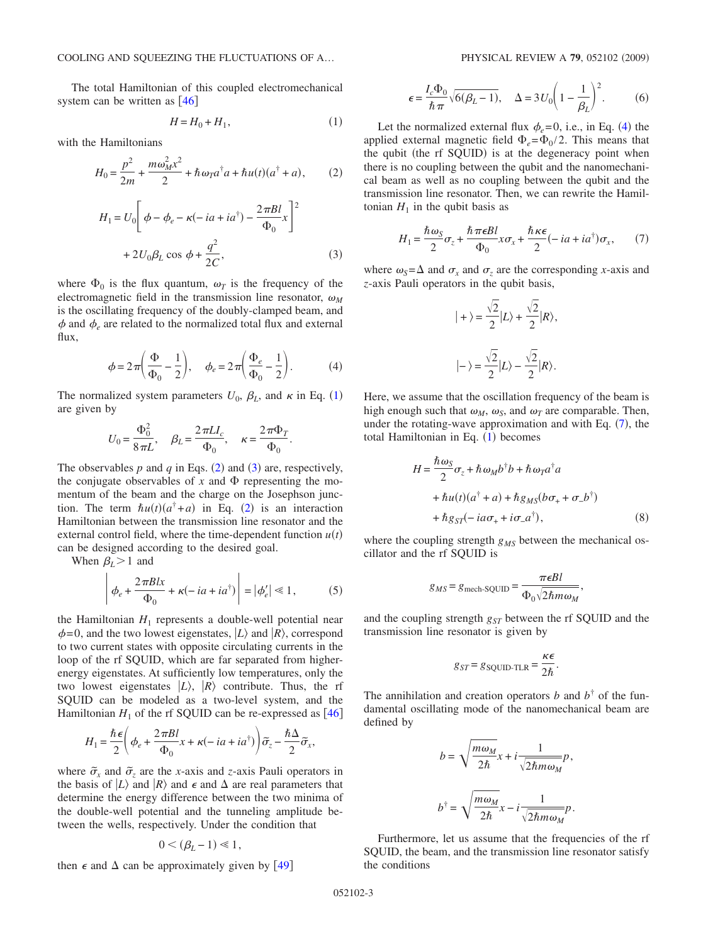The total Hamiltonian of this coupled electromechanical system can be written as  $[46]$  $[46]$  $[46]$ 

$$
H = H_0 + H_1,\tag{1}
$$

<span id="page-2-1"></span><span id="page-2-0"></span>with the Hamiltonians

$$
H_0 = \frac{p^2}{2m} + \frac{m\omega_M^2 x^2}{2} + \hbar \omega_T a^\dagger a + \hbar u(t)(a^\dagger + a), \qquad (2)
$$

<span id="page-2-2"></span>
$$
H_1 = U_0 \left[ \phi - \phi_e - \kappa(-ia + ia^{\dagger}) - \frac{2\pi B l}{\Phi_0} x \right]^2
$$
  
+ 
$$
2U_0 \beta_L \cos \phi + \frac{q^2}{2C},
$$
 (3)

where  $\Phi_0$  is the flux quantum,  $\omega_T$  is the frequency of the electromagnetic field in the transmission line resonator,  $\omega_M$ is the oscillating frequency of the doubly-clamped beam, and  $\phi$  and  $\phi_e$  are related to the normalized total flux and external flux,

$$
\phi = 2\pi \left(\frac{\Phi}{\Phi_0} - \frac{1}{2}\right), \quad \phi_e = 2\pi \left(\frac{\Phi_e}{\Phi_0} - \frac{1}{2}\right). \tag{4}
$$

<span id="page-2-3"></span>The normalized system parameters  $U_0$ ,  $\beta_L$ , and  $\kappa$  in Eq. ([1](#page-2-0)) are given by

$$
U_0 = \frac{\Phi_0^2}{8\pi L}, \quad \beta_L = \frac{2\pi L I_c}{\Phi_0}, \quad \kappa = \frac{2\pi \Phi_T}{\Phi_0}.
$$

The observables  $p$  and  $q$  in Eqs. ([2](#page-2-1)) and ([3](#page-2-2)) are, respectively, the conjugate observables of  $x$  and  $\Phi$  representing the momentum of the beam and the charge on the Josephson junction. The term  $\hbar u(t)(a^{\dagger}+a)$  in Eq. ([2](#page-2-1)) is an interaction Hamiltonian between the transmission line resonator and the external control field, where the time-dependent function  $u(t)$ can be designed according to the desired goal.

When  $\beta_L$  > 1 and

$$
\left| \phi_e + \frac{2\pi Blx}{\Phi_0} + \kappa(-ia + ia^{\dagger}) \right| = |\phi'_e| \ll 1, \tag{5}
$$

the Hamiltonian  $H_1$  represents a double-well potential near  $\phi$ =0, and the two lowest eigenstates,  $|L\rangle$  and  $|R\rangle$ , correspond to two current states with opposite circulating currents in the loop of the rf SQUID, which are far separated from higherenergy eigenstates. At sufficiently low temperatures, only the two lowest eigenstates  $|L\rangle$ ,  $|R\rangle$  contribute. Thus, the rf SQUID can be modeled as a two-level system, and the Hamiltonian  $H_1$  of the rf SQUID can be re-expressed as  $[46]$  $[46]$  $[46]$ 

$$
H_1\!=\!\frac{\hbar\epsilon}{2}\!\left(\phi_e\!+\!\frac{2\pi B l}{\Phi_0}x+\kappa(-ia+ia^\dagger)\right)\!\widetilde{\sigma}_z-\frac{\hbar\Delta}{2}\widetilde{\sigma}_x,
$$

where  $\tilde{\sigma}_x$  and  $\tilde{\sigma}_z$  are the *x*-axis and *z*-axis Pauli operators in the basis of  $|L\rangle$  and  $|R\rangle$  and  $\epsilon$  and  $\Delta$  are real parameters that determine the energy difference between the two minima of the double-well potential and the tunneling amplitude between the wells, respectively. Under the condition that

$$
0<(\beta_L-1)\ll 1,
$$

then  $\epsilon$  and  $\Delta$  can be approximately given by [[49](#page-13-11)]

$$
\epsilon = \frac{I_c \Phi_0}{\hbar \pi} \sqrt{6(\beta_L - 1)}, \quad \Delta = 3U_0 \left(1 - \frac{1}{\beta_L}\right)^2. \tag{6}
$$

<span id="page-2-5"></span>Let the normalized external flux  $\phi_e = 0$ , i.e., in Eq. ([4](#page-2-3)) the applied external magnetic field  $\Phi_e = \Phi_0 / 2$ . This means that the qubit (the rf SQUID) is at the degeneracy point when there is no coupling between the qubit and the nanomechanical beam as well as no coupling between the qubit and the transmission line resonator. Then, we can rewrite the Hamiltonian  $H_1$  in the qubit basis as

$$
H_1 = \frac{\hbar \omega_S}{2} \sigma_z + \frac{\hbar \pi \epsilon B l}{\Phi_0} x \sigma_x + \frac{\hbar \kappa \epsilon}{2} (-ia + ia^{\dagger}) \sigma_x, \qquad (7)
$$

<span id="page-2-4"></span>where  $\omega_s = \Delta$  and  $\sigma_x$  and  $\sigma_z$  are the corresponding *x*-axis and *z*-axis Pauli operators in the qubit basis,

$$
|+\rangle = \frac{\sqrt{2}}{2}|L\rangle + \frac{\sqrt{2}}{2}|R\rangle,
$$
  

$$
|-\rangle = \frac{\sqrt{2}}{2}|L\rangle - \frac{\sqrt{2}}{2}|R\rangle.
$$

Here, we assume that the oscillation frequency of the beam is high enough such that  $\omega_M$ ,  $\omega_S$ , and  $\omega_T$  are comparable. Then, under the rotating-wave approximation and with Eq.  $(7)$  $(7)$  $(7)$ , the total Hamiltonian in Eq. ([1](#page-2-0)) becomes

$$
H = \frac{\hbar \omega_S}{2} \sigma_z + \hbar \omega_M b^{\dagger} b + \hbar \omega_T a^{\dagger} a
$$
  
+  $\hbar u(t) (a^{\dagger} + a) + \hbar g_{MS} (b \sigma_+ + \sigma_- b^{\dagger})$   
+  $\hbar g_{ST} (-ia \sigma_+ + i \sigma_- a^{\dagger}),$  (8)

where the coupling strength  $g_{MS}$  between the mechanical oscillator and the rf SQUID is

$$
g_{MS} = g_{\text{mech-SQUID}} = \frac{\pi \epsilon B l}{\Phi_0 \sqrt{2 \hbar m \omega_M}},
$$

and the coupling strength  $g_{ST}$  between the rf SQUID and the transmission line resonator is given by

$$
g_{ST} = g_{\text{SQUID-TLR}} = \frac{\kappa \epsilon}{2\hbar}.
$$

The annihilation and creation operators *b* and  $b^{\dagger}$  of the fundamental oscillating mode of the nanomechanical beam are defined by

$$
\begin{array}{c} b=\sqrt{\dfrac{m\omega_{M}}{2\hbar}}x+i\dfrac{1}{\sqrt{2\hbar m\omega_{M}}}p,\\ \\ b^{\dagger}=\sqrt{\dfrac{m\omega_{M}}{2\hbar}}x-i\dfrac{1}{\sqrt{2\hbar m\omega_{M}}}p. \end{array}
$$

Furthermore, let us assume that the frequencies of the rf SQUID, the beam, and the transmission line resonator satisfy the conditions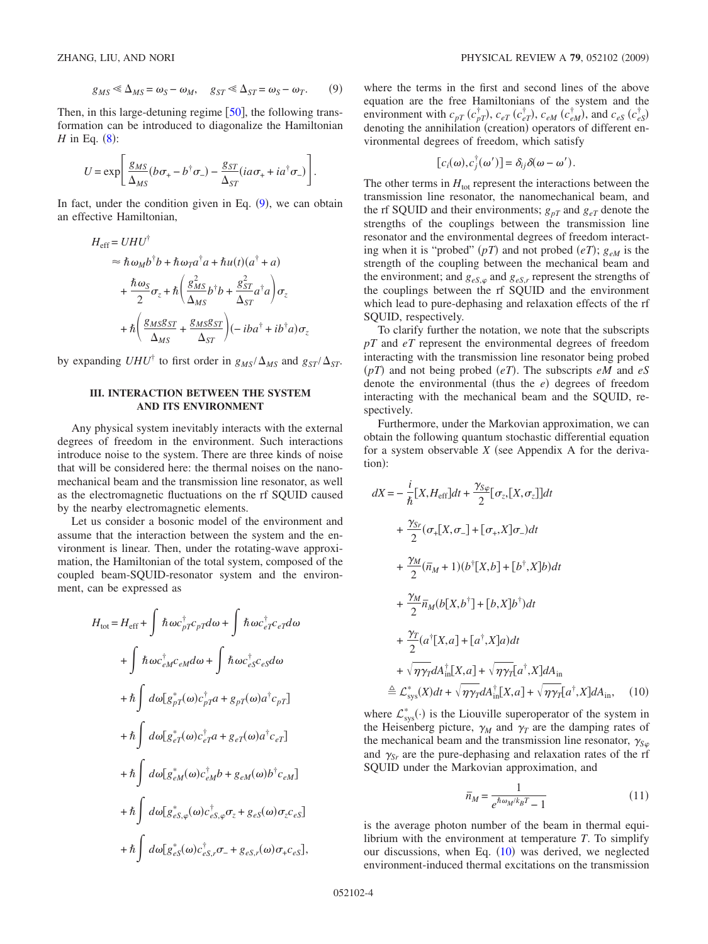$$
g_{MS} \ll \Delta_{MS} = \omega_S - \omega_M, \quad g_{ST} \ll \Delta_{ST} = \omega_S - \omega_T. \tag{9}
$$

<span id="page-3-1"></span>Then, in this large-detuning regime  $[50]$  $[50]$  $[50]$ , the following transformation can be introduced to diagonalize the Hamiltonian  $H$  in Eq.  $(8)$  $(8)$  $(8)$ :

$$
U = \exp\left[\frac{g_{MS}}{\Delta_{MS}}(b\sigma_{+} - b^{\dagger}\sigma_{-}) - \frac{g_{ST}}{\Delta_{ST}}(ia\sigma_{+} + ia^{\dagger}\sigma_{-})\right].
$$

In fact, under the condition given in Eq.  $(9)$  $(9)$  $(9)$ , we can obtain an effective Hamiltonian,

$$
H_{\text{eff}} = UHU^{\dagger}
$$
  
\n
$$
\approx \hbar \omega_M b^{\dagger} b + \hbar \omega_T a^{\dagger} a + \hbar u(t) (a^{\dagger} + a)
$$
  
\n
$$
+ \frac{\hbar \omega_S}{2} \sigma_z + \hbar \left( \frac{g_{MS}^2}{\Delta_{MS}} b^{\dagger} b + \frac{g_{ST}^2}{\Delta_{ST}} a^{\dagger} a \right) \sigma_z
$$
  
\n
$$
+ \hbar \left( \frac{g_{MS}g_{ST}}{\Delta_{MS}} + \frac{g_{MS}g_{ST}}{\Delta_{ST}} \right) (-iba^{\dagger} + ib^{\dagger} a) \sigma_z
$$

by expanding  $UHU^{\dagger}$  to first order in  $g_{MS}/\Delta_{MS}$  and  $g_{ST}/\Delta_{ST}$ .

## **III. INTERACTION BETWEEN THE SYSTEM AND ITS ENVIRONMENT**

<span id="page-3-0"></span>Any physical system inevitably interacts with the external degrees of freedom in the environment. Such interactions introduce noise to the system. There are three kinds of noise that will be considered here: the thermal noises on the nanomechanical beam and the transmission line resonator, as well as the electromagnetic fluctuations on the rf SQUID caused by the nearby electromagnetic elements.

Let us consider a bosonic model of the environment and assume that the interaction between the system and the environment is linear. Then, under the rotating-wave approximation, the Hamiltonian of the total system, composed of the coupled beam-SQUID-resonator system and the environment, can be expressed as

$$
H_{\text{tot}} = H_{\text{eff}} + \int \hbar \omega c_{pT}^{\dagger} c_{pT} d\omega + \int \hbar \omega c_{eT}^{\dagger} c_{eT} d\omega
$$

$$
+ \int \hbar \omega c_{eM}^{\dagger} c_{eM} d\omega + \int \hbar \omega c_{eS}^{\dagger} c_{eS} d\omega
$$

$$
+ \hbar \int d\omega [g_{pT}^{*}(\omega) c_{pT}^{\dagger} a + g_{pT}(\omega) a^{\dagger} c_{pT}]
$$

$$
+ \hbar \int d\omega [g_{eT}^{*}(\omega) c_{eT}^{\dagger} a + g_{eT}(\omega) a^{\dagger} c_{eT}]
$$

$$
+ \hbar \int d\omega [g_{eM}^{*}(\omega) c_{eM}^{\dagger} b + g_{eM}(\omega) b^{\dagger} c_{eM}]
$$

$$
+ \hbar \int d\omega [g_{eS, \varphi}^{*}(\omega) c_{eS, \varphi}^{\dagger} \sigma_{z} + g_{eS}(\omega) \sigma_{z} c_{eS}]
$$

$$
+ \hbar \int d\omega [g_{eS}^{*}(\omega) c_{eS, r}^{\dagger} \sigma_{-} + g_{eS, r}(\omega) \sigma_{+} c_{eS}],
$$

where the terms in the first and second lines of the above equation are the free Hamiltonians of the system and the environment with  $c_{pT}$   $(c_{pT}^{\dagger})$ ,  $c_{eT}$   $(c_{eT}^{\dagger})$ ,  $c_{eM}$   $(c_{eM}^{\dagger})$ , and  $c_{eS}$   $(c_{eS}^{\dagger})$ denoting the annihilation (creation) operators of different environmental degrees of freedom, which satisfy

$$
[c_i(\omega), c_j^{\dagger}(\omega')] = \delta_{ij}\delta(\omega - \omega').
$$

The other terms in  $H_{\text{tot}}$  represent the interactions between the transmission line resonator, the nanomechanical beam, and the rf SQUID and their environments;  $g_{pT}$  and  $g_{eT}$  denote the strengths of the couplings between the transmission line resonator and the environmental degrees of freedom interacting when it is "probed"  $(pT)$  and not probed  $(eT)$ ;  $g_{eM}$  is the strength of the coupling between the mechanical beam and the environment; and  $g_{\text{eS},\varphi}$  and  $g_{\text{eS},r}$  represent the strengths of the couplings between the rf SQUID and the environment which lead to pure-dephasing and relaxation effects of the rf SQUID, respectively.

To clarify further the notation, we note that the subscripts *pT* and *eT* represent the environmental degrees of freedom interacting with the transmission line resonator being probed  $(pT)$  and not being probed  $(eT)$ . The subscripts  $eM$  and  $eS$ denote the environmental (thus the  $e$ ) degrees of freedom interacting with the mechanical beam and the SQUID, respectively.

Furthermore, under the Markovian approximation, we can obtain the following quantum stochastic differential equation for a system observable  $X$  (see Appendix A for the derivation):

<span id="page-3-2"></span>
$$
dX = -\frac{i}{\hbar} [X, H_{\text{eff}}]dt + \frac{\gamma_{S\varphi}}{2} [\sigma_z, [X, \sigma_z]]dt
$$
  
+ 
$$
\frac{\gamma_{S\tau}}{2} (\sigma_+[X, \sigma_-] + [\sigma_+, X] \sigma_-) dt
$$
  
+ 
$$
\frac{\gamma_M}{2} (\bar{n}_M + 1) (b^{\dagger} [X, b] + [b^{\dagger}, X] b) dt
$$
  
+ 
$$
\frac{\gamma_M}{2} \bar{n}_M (b [X, b^{\dagger}] + [b, X] b^{\dagger}) dt
$$
  
+ 
$$
\frac{\gamma_T}{2} (a^{\dagger} [X, a] + [a^{\dagger}, X] a) dt
$$
  
+ 
$$
\sqrt{\gamma_Y} dA_{\text{in}}^{\dagger} [X, a] + \sqrt{\gamma \gamma_T} [a^{\dagger}, X] dA_{\text{in}}
$$
  

$$
\stackrel{\triangle}{=} \mathcal{L}_{\text{sys}}^*(X) dt + \sqrt{\gamma \gamma_T} dA_{\text{in}}^{\dagger} [X, a] + \sqrt{\gamma \gamma_T} [a^{\dagger}, X] dA_{\text{in}}, \quad (10)
$$

where  $\mathcal{L}_{sys}^*(\cdot)$  is the Liouville superoperator of the system in the Heisenberg picture,  $\gamma_M$  and  $\gamma_T$  are the damping rates of the mechanical beam and the transmission line resonator,  $\gamma_{S\varphi}$ and  $\gamma_{Sr}$  are the pure-dephasing and relaxation rates of the rf SQUID under the Markovian approximation, and

$$
\bar{n}_M = \frac{1}{e^{\hbar \omega_M / k_B T} - 1} \tag{11}
$$

<span id="page-3-3"></span>is the average photon number of the beam in thermal equilibrium with the environment at temperature *T*. To simplify our discussions, when Eq.  $(10)$  $(10)$  $(10)$  was derived, we neglected environment-induced thermal excitations on the transmission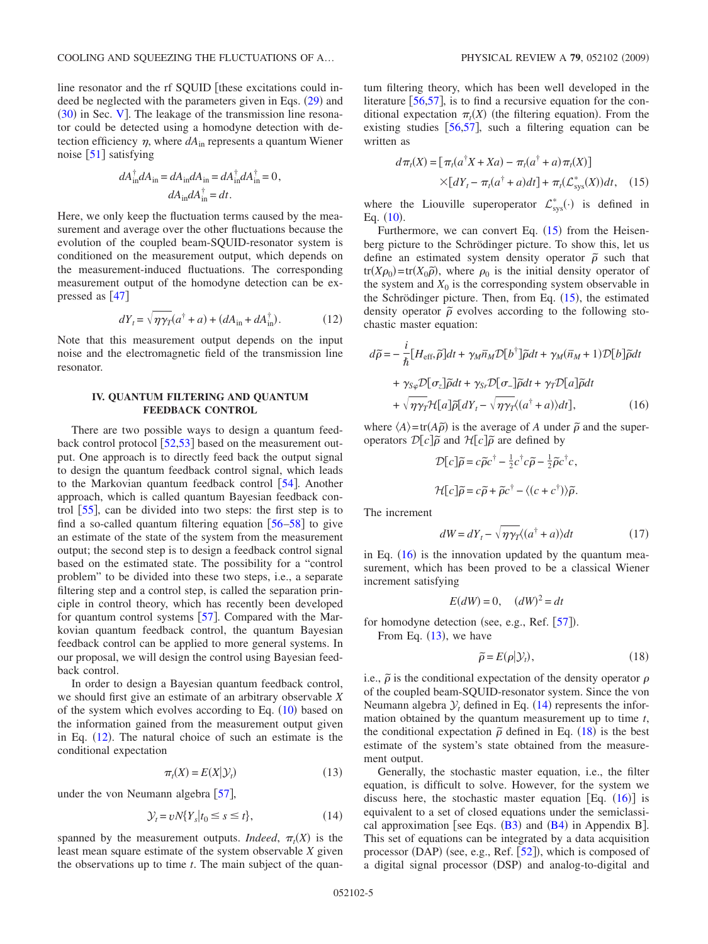line resonator and the rf SQUID [these excitations could in-deed be neglected with the parameters given in Eqs. ([29](#page-6-0)) and  $(30)$  $(30)$  $(30)$  in Sec. [V](#page-5-0)]. The leakage of the transmission line resonator could be detected using a homodyne detection with detection efficiency  $\eta$ , where  $dA_{in}$  represents a quantum Wiener noise  $\lceil 51 \rceil$  $\lceil 51 \rceil$  $\lceil 51 \rceil$  satisfying

$$
dA_{\text{in}}^{\dagger} dA_{\text{in}} = dA_{\text{in}} dA_{\text{in}} = dA_{\text{in}}^{\dagger} dA_{\text{in}}^{\dagger} = 0,
$$
  

$$
dA_{\text{in}} dA_{\text{in}}^{\dagger} = dt.
$$

Here, we only keep the fluctuation terms caused by the measurement and average over the other fluctuations because the evolution of the coupled beam-SQUID-resonator system is conditioned on the measurement output, which depends on the measurement-induced fluctuations. The corresponding measurement output of the homodyne detection can be expressed as  $[47]$  $[47]$  $[47]$ 

$$
dY_t = \sqrt{\eta \gamma_T} (a^\dagger + a) + (dA_{\rm in} + dA_{\rm in}^\dagger). \tag{12}
$$

<span id="page-4-1"></span>Note that this measurement output depends on the input noise and the electromagnetic field of the transmission line resonator.

### **IV. QUANTUM FILTERING AND QUANTUM FEEDBACK CONTROL**

<span id="page-4-0"></span>There are two possible ways to design a quantum feedback control protocol  $\left[52,53\right]$  $\left[52,53\right]$  $\left[52,53\right]$  $\left[52,53\right]$  based on the measurement output. One approach is to directly feed back the output signal to design the quantum feedback control signal, which leads to the Markovian quantum feedback control  $[54]$  $[54]$  $[54]$ . Another approach, which is called quantum Bayesian feedback control  $[55]$  $[55]$  $[55]$ , can be divided into two steps: the first step is to find a so-called quantum filtering equation  $[56-58]$  $[56-58]$  $[56-58]$  to give an estimate of the state of the system from the measurement output; the second step is to design a feedback control signal based on the estimated state. The possibility for a "control problem" to be divided into these two steps, i.e., a separate filtering step and a control step, is called the separation principle in control theory, which has recently been developed for quantum control systems  $\lceil 57 \rceil$  $\lceil 57 \rceil$  $\lceil 57 \rceil$ . Compared with the Markovian quantum feedback control, the quantum Bayesian feedback control can be applied to more general systems. In our proposal, we will design the control using Bayesian feedback control.

In order to design a Bayesian quantum feedback control, we should first give an estimate of an arbitrary observable *X* of the system which evolves according to Eq.  $(10)$  $(10)$  $(10)$  based on the information gained from the measurement output given in Eq.  $(12)$  $(12)$  $(12)$ . The natural choice of such an estimate is the conditional expectation

$$
\pi_t(X) = E(X|\mathcal{Y}_t) \tag{13}
$$

<span id="page-4-4"></span>under the von Neumann algebra  $\lceil 57 \rceil$  $\lceil 57 \rceil$  $\lceil 57 \rceil$ ,

$$
\mathcal{Y}_t = vN\{Y_s|t_0 \le s \le t\},\tag{14}
$$

<span id="page-4-5"></span>spanned by the measurement outputs. *Indeed*,  $\pi_t(X)$  is the least mean square estimate of the system observable *X* given the observations up to time *t*. The main subject of the quantum filtering theory, which has been well developed in the literature  $[56,57]$  $[56,57]$  $[56,57]$  $[56,57]$ , is to find a recursive equation for the conditional expectation  $\pi_t(X)$  (the filtering equation). From the existing studies [[56,](#page-13-18)[57](#page-13-20)], such a filtering equation can be written as

$$
d\pi_t(X) = \left[\pi_t(a^{\dagger}X + Xa) - \pi_t(a^{\dagger} + a)\pi_t(X)\right]
$$

$$
\times [dY_t - \pi_t(a^{\dagger} + a)dt] + \pi_t(\mathcal{L}_{\text{sys}}^*(X))dt, \quad (15)
$$

<span id="page-4-2"></span>where the Liouville superoperator  $\mathcal{L}^*_{\text{sys}}(\cdot)$  is defined in Eq. ([10](#page-3-2)).

Furthermore, we can convert Eq.  $(15)$  $(15)$  $(15)$  from the Heisenberg picture to the Schrödinger picture. To show this, let us define an estimated system density operator  $\tilde{\rho}$  such that tr $(X\rho_0)$ =tr $(X_0\tilde{\rho})$ , where  $\rho_0$  is the initial density operator of the system and  $X_0$  is the corresponding system observable in the Schrödinger picture. Then, from Eq.  $(15)$  $(15)$  $(15)$ , the estimated density operator  $\tilde{\rho}$  evolves according to the following stochastic master equation:

<span id="page-4-3"></span>
$$
d\tilde{\rho} = -\frac{i}{\hbar} [H_{\text{eff}}, \tilde{\rho}] dt + \gamma_M \bar{n}_M \mathcal{D}[b^{\dagger}] \tilde{\rho} dt + \gamma_M (\bar{n}_M + 1) \mathcal{D}[b] \tilde{\rho} dt
$$

$$
+ \gamma_{S\varphi} \mathcal{D}[\sigma_z] \tilde{\rho} dt + \gamma_{S\tau} \mathcal{D}[\sigma_z] \tilde{\rho} dt + \gamma_T \mathcal{D}[a] \tilde{\rho} dt
$$

$$
+ \sqrt{\eta \gamma_T} \mathcal{H}[a] \tilde{\rho}[dY_t - \sqrt{\eta \gamma_T} \langle (a^{\dagger} + a) \rangle dt], \qquad (16)
$$

where  $\langle A \rangle = \text{tr}(A\tilde{\rho})$  is the average of *A* under  $\tilde{\rho}$  and the superoperators  $\mathcal{D}[c]\tilde{\rho}$  and  $\mathcal{H}[c]\tilde{\rho}$  are defined by

$$
\mathcal{D}[c]\tilde{\rho} = c\tilde{\rho}c^{\dagger} - \frac{1}{2}c^{\dagger}c\tilde{\rho} - \frac{1}{2}\tilde{\rho}c^{\dagger}c,
$$
  

$$
\mathcal{H}[c]\tilde{\rho} = c\tilde{\rho} + \tilde{\rho}c^{\dagger} - \langle (c+c^{\dagger}) \rangle \tilde{\rho}.
$$

The increment

$$
dW = dY_t - \sqrt{\eta \gamma_T} (a^{\dagger} + a) \, dt \tag{17}
$$

<span id="page-4-7"></span>in Eq.  $(16)$  $(16)$  $(16)$  is the innovation updated by the quantum measurement, which has been proved to be a classical Wiener increment satisfying

$$
E(dW) = 0, \quad (dW)^2 = dt
$$

for homodyne detection (see, e.g., Ref. [[57](#page-13-20)]).

From Eq.  $(13)$  $(13)$  $(13)$ , we have

$$
\widetilde{\rho} = E(\rho | \mathcal{Y}_t), \tag{18}
$$

<span id="page-4-6"></span>i.e.,  $\tilde{\rho}$  is the conditional expectation of the density operator  $\rho$ of the coupled beam-SQUID-resonator system. Since the von Neumann algebra  $\mathcal{Y}_t$  defined in Eq. ([14](#page-4-5)) represents the information obtained by the quantum measurement up to time *t*, the conditional expectation  $\tilde{\rho}$  defined in Eq. ([18](#page-4-6)) is the best estimate of the system's state obtained from the measurement output.

Generally, the stochastic master equation, i.e., the filter equation, is difficult to solve. However, for the system we discuss here, the stochastic master equation [Eq.  $(16)$  $(16)$  $(16)$ ] is equivalent to a set of closed equations under the semiclassical approximation [see Eqs.  $(B3)$  $(B3)$  $(B3)$  and  $(B4)$  $(B4)$  $(B4)$  in Appendix B]. This set of equations can be integrated by a data acquisition processor (DAP) (see, e.g., Ref. [[52](#page-13-14)]), which is composed of a digital signal processor (DSP) and analog-to-digital and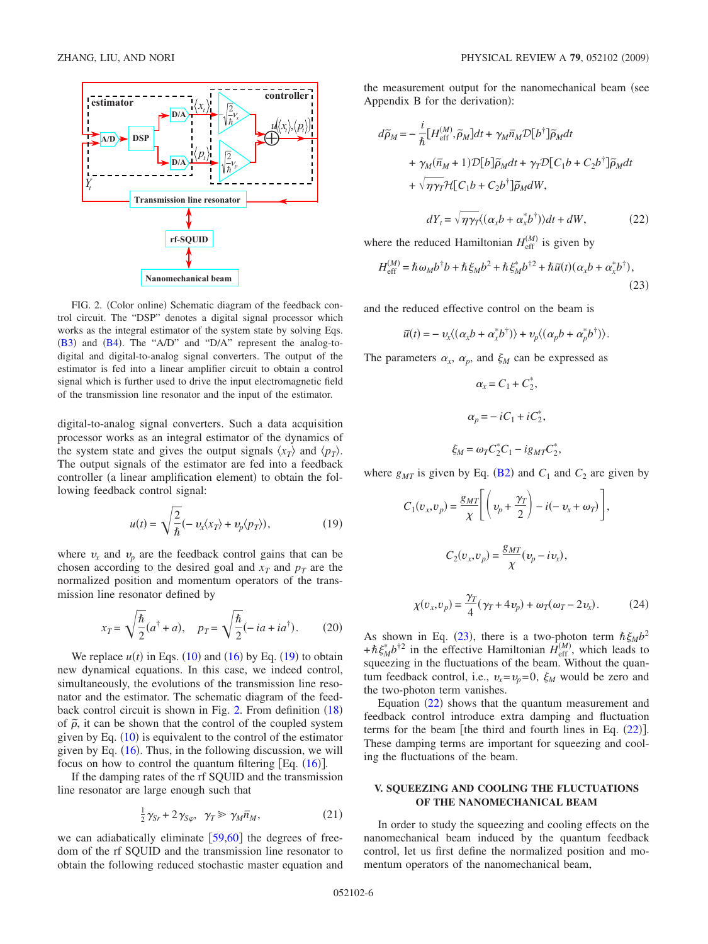<span id="page-5-2"></span>

FIG. 2. (Color online) Schematic diagram of the feedback control circuit. The "DSP" denotes a digital signal processor which works as the integral estimator of the system state by solving Eqs.  $(B3)$  $(B3)$  $(B3)$  and  $(B4)$  $(B4)$  $(B4)$ . The "A/D" and "D/A" represent the analog-todigital and digital-to-analog signal converters. The output of the estimator is fed into a linear amplifier circuit to obtain a control signal which is further used to drive the input electromagnetic field of the transmission line resonator and the input of the estimator.

digital-to-analog signal converters. Such a data acquisition processor works as an integral estimator of the dynamics of the system state and gives the output signals  $\langle x_T \rangle$  and  $\langle p_T \rangle$ . The output signals of the estimator are fed into a feedback controller (a linear amplification element) to obtain the following feedback control signal:

$$
u(t) = \sqrt{\frac{2}{\hbar}} (-v_x \langle x_T \rangle + v_p \langle p_T \rangle), \qquad (19)
$$

<span id="page-5-1"></span>where  $v_x$  and  $v_p$  are the feedback control gains that can be chosen according to the desired goal and  $x_T$  and  $p_T$  are the normalized position and momentum operators of the transmission line resonator defined by

$$
x_T = \sqrt{\frac{\hbar}{2}}(a^{\dagger} + a), \quad p_T = \sqrt{\frac{\hbar}{2}}(-ia + ia^{\dagger}).
$$
 (20)

<span id="page-5-5"></span>We replace  $u(t)$  in Eqs.  $(10)$  $(10)$  $(10)$  and  $(16)$  $(16)$  $(16)$  by Eq.  $(19)$  $(19)$  $(19)$  to obtain new dynamical equations. In this case, we indeed control, simultaneously, the evolutions of the transmission line resonator and the estimator. The schematic diagram of the feed-back control circuit is shown in Fig. [2.](#page-5-2) From definition ([18](#page-4-6)) of  $\tilde{\rho}$ , it can be shown that the control of the coupled system given by Eq.  $(10)$  $(10)$  $(10)$  is equivalent to the control of the estimator given by Eq.  $(16)$  $(16)$  $(16)$ . Thus, in the following discussion, we will focus on how to control the quantum filtering  $[Eq. (16)].$  $[Eq. (16)].$  $[Eq. (16)].$ 

If the damping rates of the rf SQUID and the transmission line resonator are large enough such that

$$
\frac{1}{2}\gamma_{Sr} + 2\gamma_{S\varphi}, \quad \gamma_T \gg \gamma_M \bar{n}_M, \tag{21}
$$

we can adiabatically eliminate  $[59,60]$  $[59,60]$  $[59,60]$  $[59,60]$  the degrees of freedom of the rf SQUID and the transmission line resonator to obtain the following reduced stochastic master equation and the measurement output for the nanomechanical beam (see Appendix B for the derivation):

<span id="page-5-4"></span>
$$
d\tilde{\rho}_M = -\frac{i}{\hbar} \left[ H_{\text{eff}}^{(M)}, \tilde{\rho}_M \right] dt + \gamma_M \bar{n}_M \mathcal{D} \left[ b^{\dagger} \right] \tilde{\rho}_M dt
$$
  
+  $\gamma_M (\bar{n}_M + 1) \mathcal{D} \left[ b \right] \tilde{\rho}_M dt + \gamma_T \mathcal{D} \left[ C_1 b + C_2 b^{\dagger} \right] \tilde{\rho}_M dt$   
+  $\sqrt{\gamma \gamma_T} \mathcal{H} \left[ C_1 b + C_2 b^{\dagger} \right] \tilde{\rho}_M dW$ ,

$$
dY_t = \sqrt{\eta \gamma_t} \langle (\alpha_x b + \alpha_x^* b^\dagger) \rangle dt + dW, \qquad (22)
$$

where the reduced Hamiltonian  $H_{\text{eff}}^{(M)}$  is given by

<span id="page-5-3"></span>
$$
H_{\text{eff}}^{(M)} = \hbar \omega_M b^{\dagger} b + \hbar \xi_M b^2 + \hbar \xi_M^* b^{\dagger 2} + \hbar \tilde{u}(t) (\alpha_x b + \alpha_x^* b^{\dagger}),
$$
\n(23)

and the reduced effective control on the beam is

$$
\widetilde{u}(t) = -\, v_x \langle (\alpha_x b + \alpha_x^* b^\dagger) \rangle + v_p \langle (\alpha_p b + \alpha_p^* b^\dagger) \rangle.
$$

The parameters  $\alpha_x$ ,  $\alpha_p$ , and  $\xi_M$  can be expressed as

$$
\alpha_x = C_1 + C_2^*,
$$
  
\n
$$
\alpha_p = -iC_1 + iC_2^*,
$$
  
\n
$$
\xi_M = \omega_T C_2^* C_1 - i g_{MT} C_2^*
$$

where  $g_{MT}$  is given by Eq. ([B2](#page-11-2)) and  $C_1$  and  $C_2$  are given by

,

<span id="page-5-6"></span>
$$
C_1(v_x, v_p) = \frac{g_{MT}}{\chi} \left[ \left( v_p + \frac{\gamma_T}{2} \right) - i(-v_x + \omega_T) \right],
$$
  

$$
C_2(v_x, v_p) = \frac{g_{MT}}{\chi} (v_p - iv_x),
$$
  

$$
\chi(v_x, v_p) = \frac{\gamma_T}{4} (\gamma_T + 4v_p) + \omega_T(\omega_T - 2v_x).
$$
 (24)

As shown in Eq. ([23](#page-5-3)), there is a two-photon term  $\hbar \xi_M b^2$  $+\hbar \xi_M^* b^{\dagger 2}$  in the effective Hamiltonian  $\hat{H}_{\text{eff}}^{(M)}$ , which leads to squeezing in the fluctuations of the beam. Without the quantum feedback control, i.e.,  $v_x = v_p = 0$ ,  $\xi_M$  would be zero and the two-photon term vanishes.

Equation  $(22)$  $(22)$  $(22)$  shows that the quantum measurement and feedback control introduce extra damping and fluctuation terms for the beam [the third and fourth lines in Eq.  $(22)$  $(22)$  $(22)$ ]. These damping terms are important for squeezing and cooling the fluctuations of the beam.

## **V. SQUEEZING AND COOLING THE FLUCTUATIONS OF THE NANOMECHANICAL BEAM**

<span id="page-5-0"></span>In order to study the squeezing and cooling effects on the nanomechanical beam induced by the quantum feedback control, let us first define the normalized position and momentum operators of the nanomechanical beam,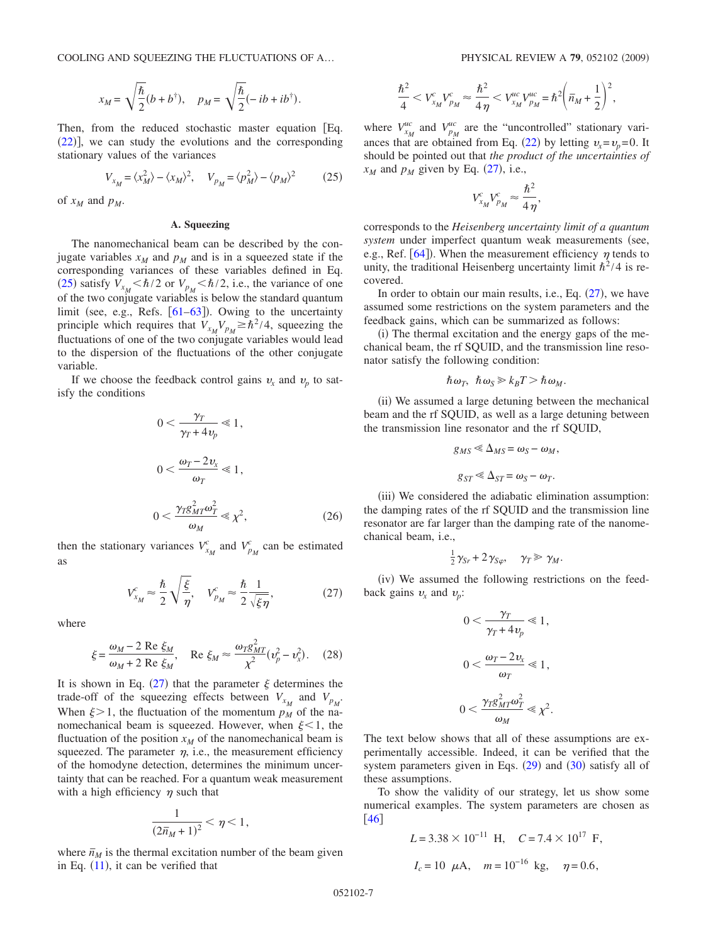$$
x_M = \sqrt{\frac{\hbar}{2}}(b+b^{\dagger}), \quad p_M = \sqrt{\frac{\hbar}{2}}(-ib+ib^{\dagger}).
$$

Then, from the reduced stochastic master equation [Eq.  $(22)$  $(22)$  $(22)$ ], we can study the evolutions and the corresponding stationary values of the variances

$$
V_{x_M} = \langle x_M^2 \rangle - \langle x_M \rangle^2, \quad V_{p_M} = \langle p_M^2 \rangle - \langle p_M \rangle^2 \tag{25}
$$

<span id="page-6-1"></span>of  $x_M$  and  $p_M$ .

# **A. Squeezing**

The nanomechanical beam can be described by the conjugate variables  $x_M$  and  $p_M$  and is in a squeezed state if the corresponding variances of these variables defined in Eq. ([25](#page-6-1)) satisfy  $V_{x_M} < \hbar/2$  or  $V_{p_M} < \hbar/2$ , i.e., the variance of one of the two conjugate variables is below the standard quantum limit (see, e.g., Refs.  $[61-63]$  $[61-63]$  $[61-63]$ ). Owing to the uncertainty principle which requires that  $V_{x_M}V_{p_M} \ge \hbar^2/4$ , squeezing the fluctuations of one of the two conjugate variables would lead to the dispersion of the fluctuations of the other conjugate variable.

<span id="page-6-3"></span>If we choose the feedback control gains  $v_x$  and  $v_p$  to satisfy the conditions

$$
0 < \frac{\gamma_T}{\gamma_T + 4\nu_p} \ll 1,
$$
\n
$$
0 < \frac{\omega_T - 2\nu_x}{\omega_T} \ll 1,
$$
\n
$$
0 < \frac{\gamma_T g_{MT}^2 \omega_T^2}{\omega_M} \ll \chi^2,
$$
\n
$$
(26)
$$

then the stationary variances  $V_{x_M}^c$  and  $V_{p_M}^c$  can be estimated as

$$
V_{x_M}^c \approx \frac{\hbar}{2} \sqrt{\frac{\xi}{\eta}}, \quad V_{p_M}^c \approx \frac{\hbar}{2} \frac{1}{\sqrt{\xi \eta}}, \tag{27}
$$

<span id="page-6-2"></span>where

$$
\xi = \frac{\omega_M - 2 \text{ Re } \xi_M}{\omega_M + 2 \text{ Re } \xi_M}, \quad \text{Re } \xi_M \approx \frac{\omega_T g_{MT}^2}{\chi^2} (\nu_p^2 - \nu_x^2). \tag{28}
$$

<span id="page-6-4"></span>It is shown in Eq. ([27](#page-6-2)) that the parameter  $\xi$  determines the trade-off of the squeezing effects between  $V_{x_M}$  and  $V_{p_M}$ . When  $\xi > 1$ , the fluctuation of the momentum  $p_M$  of the nanomechanical beam is squeezed. However, when  $\xi < 1$ , the fluctuation of the position  $x_M$  of the nanomechanical beam is squeezed. The parameter  $\eta$ , i.e., the measurement efficiency of the homodyne detection, determines the minimum uncertainty that can be reached. For a quantum weak measurement with a high efficiency  $\eta$  such that

$$
\frac{1}{(2\bar{n}_M+1)^2} < \eta < 1,
$$

where  $\bar{n}_M$  is the thermal excitation number of the beam given in Eq.  $(11)$  $(11)$  $(11)$ , it can be verified that

$$
\frac{\hbar^2}{4} < V_{x_M}^c V_{p_M}^c \approx \frac{\hbar^2}{4\,\eta} < V_{x_M}^{uc} V_{p_M}^{uc} = \hbar^2 \bigg( \bar{n}_M + \frac{1}{2} \bigg)^2,
$$

where  $V_{x_M}^{uc}$  and  $V_{p_M}^{uc}$  are the "uncontrolled" stationary vari-ances that are obtained from Eq. ([22](#page-5-4)) by letting  $v_x = v_p = 0$ . It should be pointed out that *the product of the uncertainties of*  $x_M$  and  $p_M$  given by Eq. ([27](#page-6-2)), i.e.,

$$
V_{x_M}^c V_{p_M}^c \approx \frac{\hbar^2}{4\eta},
$$

corresponds to the *Heisenberg uncertainty limit of a quantum system* under imperfect quantum weak measurements (see, e.g., Ref. [[64](#page-13-25)]). When the measurement efficiency  $\eta$  tends to unity, the traditional Heisenberg uncertainty limit  $\hbar^2/4$  is recovered.

In order to obtain our main results, i.e., Eq.  $(27)$  $(27)$  $(27)$ , we have assumed some restrictions on the system parameters and the feedback gains, which can be summarized as follows:

(i) The thermal excitation and the energy gaps of the mechanical beam, the rf SQUID, and the transmission line resonator satisfy the following condition:

$$
\hbar\,\omega_T,\ \hbar\,\omega_S\,\gg k_BT \,\gt \,\hbar\,\omega_M.
$$

(ii) We assumed a large detuning between the mechanical beam and the rf SQUID, as well as a large detuning between the transmission line resonator and the rf SQUID,

$$
g_{MS} \ll \Delta_{MS} = \omega_S - \omega_M,
$$
  

$$
g_{ST} \ll \Delta_{ST} = \omega_S - \omega_T.
$$

(iii) We considered the adiabatic elimination assumption: the damping rates of the rf SQUID and the transmission line resonator are far larger than the damping rate of the nanomechanical beam, i.e.,

$$
\frac{1}{2}\gamma_{Sr}+2\gamma_{S\varphi},\quad \gamma_T\gg\gamma_M.
$$

(iv) We assumed the following restrictions on the feedback gains  $v_x$  and  $v_y$ :

$$
0 < \frac{\gamma_T}{\gamma_T + 4\nu_p} \le 1,
$$
\n
$$
0 < \frac{\omega_T - 2\nu_x}{\omega_T} \le 1,
$$
\n
$$
0 < \frac{\gamma_T g_{MT}^2 \omega_T^2}{\omega_M} \le \chi^2.
$$

The text below shows that all of these assumptions are experimentally accessible. Indeed, it can be verified that the system parameters given in Eqs.  $(29)$  $(29)$  $(29)$  and  $(30)$  $(30)$  $(30)$  satisfy all of these assumptions.

To show the validity of our strategy, let us show some numerical examples. The system parameters are chosen as  $\lfloor 46 \rfloor$  $\lfloor 46 \rfloor$  $\lfloor 46 \rfloor$ 

<span id="page-6-0"></span>
$$
L = 3.38 \times 10^{-11}
$$
 H,  $C = 7.4 \times 10^{17}$  F,  
 $I_c = 10 \mu$ A,  $m = 10^{-16}$  kg,  $\eta = 0.6$ ,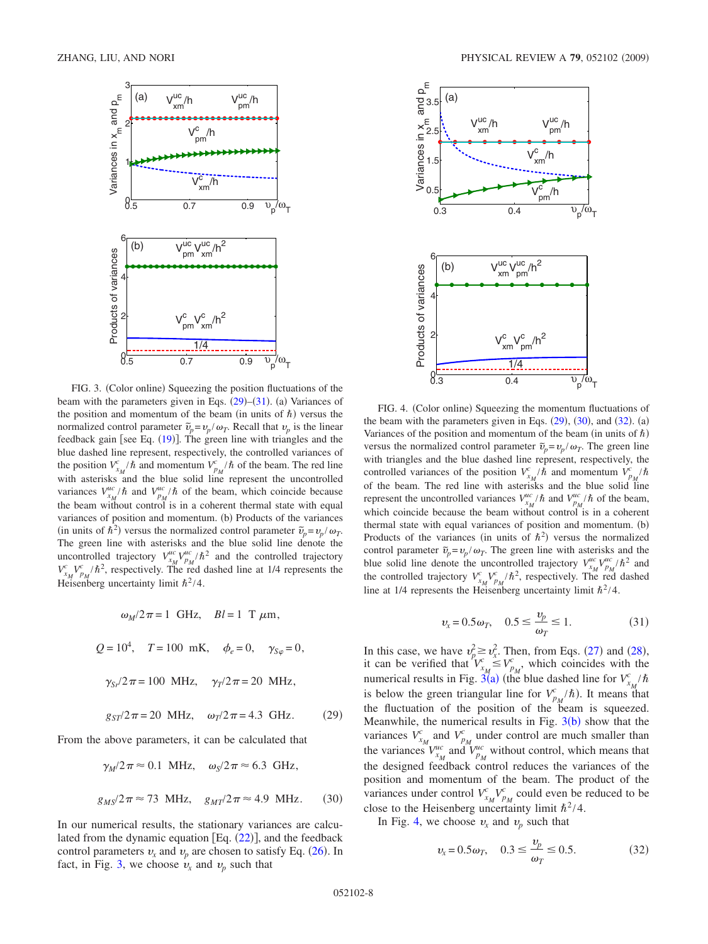<span id="page-7-1"></span>

FIG. 3. (Color online) Squeezing the position fluctuations of the beam with the parameters given in Eqs.  $(29)$  $(29)$  $(29)$ – $(31)$  $(31)$  $(31)$ . (a) Variances of the position and momentum of the beam (in units of  $\hbar$ ) versus the normalized control parameter  $\tilde{v}_p = v_p / \omega_T$ . Recall that  $v_p$  is the linear feedback gain [see Eq.  $(19)$  $(19)$  $(19)$ ]. The green line with triangles and the blue dashed line represent, respectively, the controlled variances of the position  $V_{x_M}^c/\hbar$  and momentum  $V_{y_M}^c/\hbar$  of the beam. The red line with asterisks and the blue solid line represent the uncontrolled variances  $V_{x_M}^{uc}/\hbar$  and  $V_{p_M}^{uc}/\hbar$  of the beam, which coincide because the beam without control is in a coherent thermal state with equal variances of position and momentum. (b) Products of the variances (in units of  $\hat{h}^2$ ) versus the normalized control parameter  $\tilde{v}_p = v_p / \omega_T$ . The green line with asterisks and the blue solid line denote the uncontrolled trajectory  $V_{x_M}^{uc} / \hbar^2$  and the controlled trajectory  $V_{\nu_M}^c V_{p_M}^c / \hbar^2$ , respectively. The red dashed line at 1/4 represents the Heisenberg uncertainty limit  $\hbar^2/4$ .

$$
\omega_M/2\pi = 1
$$
 GHz,  $Bl = 1$  T  $\mu$ m,  
\n $Q = 10^4$ ,  $T = 100$  mK,  $\phi_e = 0$ ,  $\gamma_{S\varphi} = 0$ ,  
\n $\gamma_{Sr}/2\pi = 100$  MHz,  $\gamma_T/2\pi = 20$  MHz,  
\n $g_{ST}/2\pi = 20$  MHz,  $\omega_T/2\pi = 4.3$  GHz. (29)

From the above parameters, it can be calculated that

$$
\gamma_M/2\pi \approx 0.1 \text{ MHz}, \quad \omega_S/2\pi \approx 6.3 \text{ GHz},
$$
  
 $g_{MS}/2\pi \approx 73 \text{ MHz}, \quad g_{MT}/2\pi \approx 4.9 \text{ MHz}.$  (30)

<span id="page-7-0"></span>In our numerical results, the stationary variances are calculated from the dynamic equation  $[Eq. (22)]$  $[Eq. (22)]$  $[Eq. (22)]$ , and the feedback control parameters  $v_x$  and  $v_p$  are chosen to satisfy Eq. ([26](#page-6-3)). In fact, in Fig. [3,](#page-7-1) we choose  $v_x$  and  $v_p$  such that

<span id="page-7-2"></span>

FIG. 4. (Color online) Squeezing the momentum fluctuations of the beam with the parameters given in Eqs.  $(29)$  $(29)$  $(29)$ ,  $(30)$  $(30)$  $(30)$ , and  $(32)$  $(32)$  $(32)$ .  $(a)$ Variances of the position and momentum of the beam (in units of  $\hbar$ ) versus the normalized control parameter  $\tilde{v}_p = v_p / \omega_T$ . The green line with triangles and the blue dashed line represent, respectively, the controlled variances of the position  $V_{x_M}^c/\hbar$  and momentum  $V_{p_M}^c/\hbar$ of the beam. The red line with asterisks and the blue solid line represent the uncontrolled variances  $V_{x_M}^{uc}/\hbar$  and  $V_{p_M}^{uc}/\hbar$  of the beam, which coincide because the beam without control is in a coherent thermal state with equal variances of position and momentum. (b) Products of the variances (in units of  $\hbar^2$ ) versus the normalized control parameter  $\tilde{v}_p = v_p / \omega_T$ . The green line with asterisks and the blue solid line denote the uncontrolled trajectory  $V_{x_M}^{\mu c}V_{p_M}^{\mu c}/\hbar^2$  and the controlled trajectory  $V_{x_M}^c V_{p_M}^c / \hbar^2$ , respectively. The red dashed line at 1/4 represents the Heisenberg uncertainty limit  $\hbar^2/4$ .

$$
v_x = 0.5\omega_T, \quad 0.5 \le \frac{v_p}{\omega_T} \le 1. \tag{31}
$$

<span id="page-7-3"></span>In this case, we have  $v_p^2 \ge v_x^2$ . Then, from Eqs. ([27](#page-6-2)) and ([28](#page-6-4)), it can be verified that  $V_{x_M}^c \leq V_{p_M}^c$ , which coincides with the numerical results in Fig.  $3^{\prime\prime}(a)$  $3^{\prime\prime}(a)$  (the blue dashed line for  $V_{x_M}^c/\hbar$ is below the green triangular line for  $V_{p_M}^c/\hbar$ ). It means that the fluctuation of the position of the beam is squeezed. Meanwhile, the numerical results in Fig.  $3(b)$  $3(b)$  show that the variances  $V_{x_M}^c$  and  $V_{p_M}^c$  under control are much smaller than the variances  $V_{x_M}^{uc}$  and  $V_{p_M}^{uc}$  without control, which means that the designed feedback control reduces the variances of the position and momentum of the beam. The product of the variances under control  $V_{x_M}^c V_{p_M}^c$  could even be reduced to be close to the Heisenberg uncertainty limit  $\hbar^2/4$ .

<span id="page-7-4"></span>In Fig. [4,](#page-7-2) we choose  $v_x$  and  $v_p$  such that

$$
v_x = 0.5\omega_T, \quad 0.3 \le \frac{v_p}{\omega_T} \le 0.5.
$$
 (32)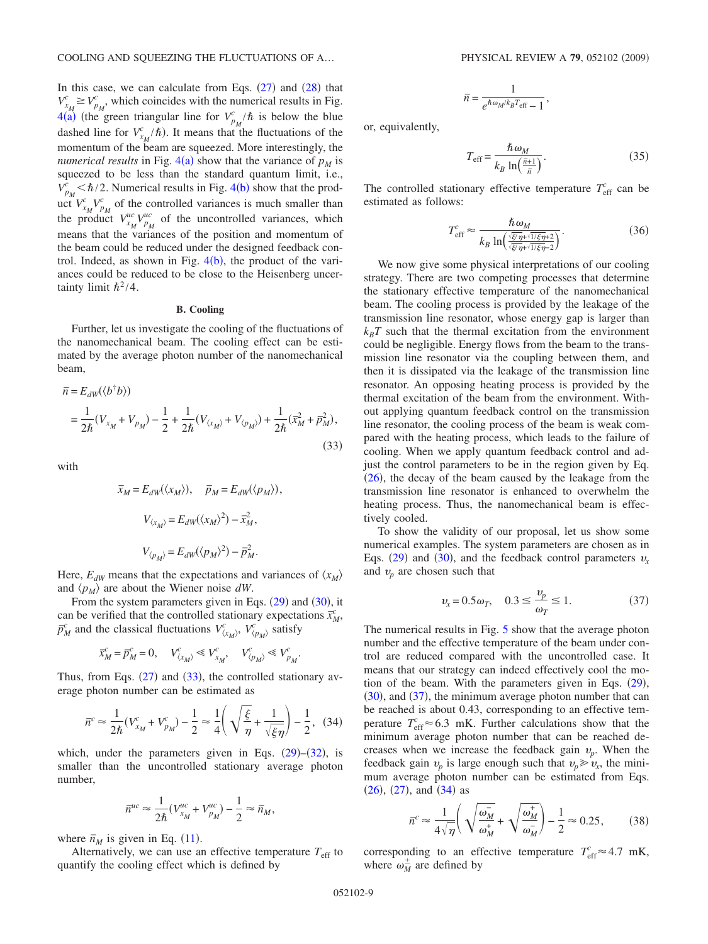In this case, we can calculate from Eqs.  $(27)$  $(27)$  $(27)$  and  $(28)$  $(28)$  $(28)$  that  $V_{x_M}^c \geq V_{p_M}^c$ , which coincides with the numerical results in Fig.  $4(a)$  $4(a)$  (the green triangular line for  $V_{p_M}^c/\hbar$  is below the blue dashed line for  $V_{x_M}^c/\hbar$ ). It means that the fluctuations of the momentum of the beam are squeezed. More interestingly, the *numerical results* in Fig.  $4(a)$  $4(a)$  show that the variance of  $p_M$  is squeezed to be less than the standard quantum limit, i.e.,  $V_{p_M}^c < \hbar/2$ . Numerical results in Fig. [4](#page-7-2)(b) show that the product  $V_{x_M}^c V_{p_M}^c$  of the controlled variances is much smaller than the product  $V_{x_M}^{uc}V_{p_M}^{uc}$  of the uncontrolled variances, which means that the variances of the position and momentum of the beam could be reduced under the designed feedback control. Indeed, as shown in Fig.  $4(b)$  $4(b)$ , the product of the variances could be reduced to be close to the Heisenberg uncertainty limit  $\hbar^2/4$ .

## **B. Cooling**

Further, let us investigate the cooling of the fluctuations of the nanomechanical beam. The cooling effect can be estimated by the average photon number of the nanomechanical beam,

<span id="page-8-0"></span>
$$
\begin{split} \overline{n} &= E_{dW}(\langle b^{\dagger}b \rangle) \\ &= \frac{1}{2\hbar}(V_{x_M} + V_{p_M}) - \frac{1}{2} + \frac{1}{2\hbar}(V_{\langle x_M \rangle} + V_{\langle p_M \rangle}) + \frac{1}{2\hbar}(\overline{x}_M^2 + \overline{p}_M^2), \end{split} \tag{33}
$$

with

$$
\overline{x}_M = E_{dW}(\langle x_M \rangle), \quad \overline{p}_M = E_{dW}(\langle p_M \rangle),
$$

$$
V_{\langle x_M \rangle} = E_{dW}(\langle x_M \rangle^2) - \overline{x}_M^2,
$$

$$
V_{\langle p_M \rangle} = E_{dW}(\langle p_M \rangle^2) - \overline{p}_M^2.
$$

Here,  $E_{dW}$  means that the expectations and variances of  $\langle x_M \rangle$ and  $\langle p_M \rangle$  are about the Wiener noise dW.

From the system parameters given in Eqs.  $(29)$  $(29)$  $(29)$  and  $(30)$  $(30)$  $(30)$ , it can be verified that the controlled stationary expectations  $\bar{x}_M^c$ ,  $\bar{p}_M^c$  and the classical fluctuations  $V^c_{(x_M)}$ ,  $V^c_{(p_M)}$  satisfy

$$
\overline{x}_M^c = \overline{p}_M^c = 0, \quad V_{\langle x_M \rangle}^c \ll V_{x_M}^c, \quad V_{\langle p_M \rangle}^c \ll V_{p_M}^c.
$$

Thus, from Eqs.  $(27)$  $(27)$  $(27)$  and  $(33)$  $(33)$  $(33)$ , the controlled stationary average photon number can be estimated as

$$
\bar{n}^c \approx \frac{1}{2\hbar} (V_{x_M}^c + V_{p_M}^c) - \frac{1}{2} \approx \frac{1}{4} \left( \sqrt{\frac{\xi}{\eta}} + \frac{1}{\sqrt{\xi \eta}} \right) - \frac{1}{2}, \quad (34)
$$

<span id="page-8-2"></span>which, under the parameters given in Eqs.  $(29)$  $(29)$  $(29)$ – $(32)$  $(32)$  $(32)$ , is smaller than the uncontrolled stationary average photon number,

$$
\bar{n}^{uc} \approx \frac{1}{2\hbar} (V_{x_M}^{uc} + V_{p_M}^{uc}) - \frac{1}{2} \approx \bar{n}_M,
$$

where  $\bar{n}_M$  is given in Eq. ([11](#page-3-3)).

Alternatively, we can use an effective temperature  $T_{\text{eff}}$  to quantify the cooling effect which is defined by

$$
\overline{n} = \frac{1}{e^{\hbar \omega_M / k_B T_{\text{eff}}} - 1},
$$

or, equivalently,

$$
T_{\rm eff} = \frac{\hbar \omega_M}{k_B \ln\left(\frac{\bar{n}+1}{\bar{n}}\right)}.
$$
\n(35)

The controlled stationary effective temperature  $T_{\text{eff}}^c$  can be estimated as follows:

$$
T_{\rm eff}^c \approx \frac{\hbar \omega_M}{k_B \ln\left(\frac{\sqrt{\xi/\eta} + \sqrt{1/\xi\eta} + 2}{\sqrt{\xi/\eta} + \sqrt{1/\xi\eta} - 2}\right)}.
$$
(36)

We now give some physical interpretations of our cooling strategy. There are two competing processes that determine the stationary effective temperature of the nanomechanical beam. The cooling process is provided by the leakage of the transmission line resonator, whose energy gap is larger than  $k_B T$  such that the thermal excitation from the environment could be negligible. Energy flows from the beam to the transmission line resonator via the coupling between them, and then it is dissipated via the leakage of the transmission line resonator. An opposing heating process is provided by the thermal excitation of the beam from the environment. Without applying quantum feedback control on the transmission line resonator, the cooling process of the beam is weak compared with the heating process, which leads to the failure of cooling. When we apply quantum feedback control and adjust the control parameters to be in the region given by Eq.  $(26)$  $(26)$  $(26)$ , the decay of the beam caused by the leakage from the transmission line resonator is enhanced to overwhelm the heating process. Thus, the nanomechanical beam is effectively cooled.

To show the validity of our proposal, let us show some numerical examples. The system parameters are chosen as in Eqs. ([29](#page-6-0)) and ([30](#page-7-0)), and the feedback control parameters  $v_x$ and  $v_p$  are chosen such that

$$
v_x = 0.5\omega_T, \quad 0.3 \le \frac{v_p}{\omega_T} \le 1. \tag{37}
$$

<span id="page-8-1"></span>The numerical results in Fig. [5](#page-9-1) show that the average photon number and the effective temperature of the beam under control are reduced compared with the uncontrolled case. It means that our strategy can indeed effectively cool the motion of the beam. With the parameters given in Eqs.  $(29)$  $(29)$  $(29)$ ,  $(30)$  $(30)$  $(30)$ , and  $(37)$  $(37)$  $(37)$ , the minimum average photon number that can be reached is about 0.43, corresponding to an effective temperature  $T_{\text{eff}}^c \approx 6.3 \text{ mK}$ . Further calculations show that the minimum average photon number that can be reached decreases when we increase the feedback gain  $v_p$ . When the feedback gain  $v_p$  is large enough such that  $v_p \ge v_x$ , the minimum average photon number can be estimated from Eqs.  $(26), (27),$  $(26), (27),$  $(26), (27),$  $(26), (27),$  $(26), (27),$  and  $(34)$  $(34)$  $(34)$  as

$$
\overline{n}^c \approx \frac{1}{4\sqrt{\eta}} \left( \sqrt{\frac{\omega_M^-}{\omega_M^+}} + \sqrt{\frac{\omega_M^+}{\omega_M^-}} \right) - \frac{1}{2} \approx 0.25, \quad (38)
$$

corresponding to an effective temperature  $T_{\text{eff}}^c \approx 4.7 \text{ mK}$ , where  $\omega_M^{\pm}$  are defined by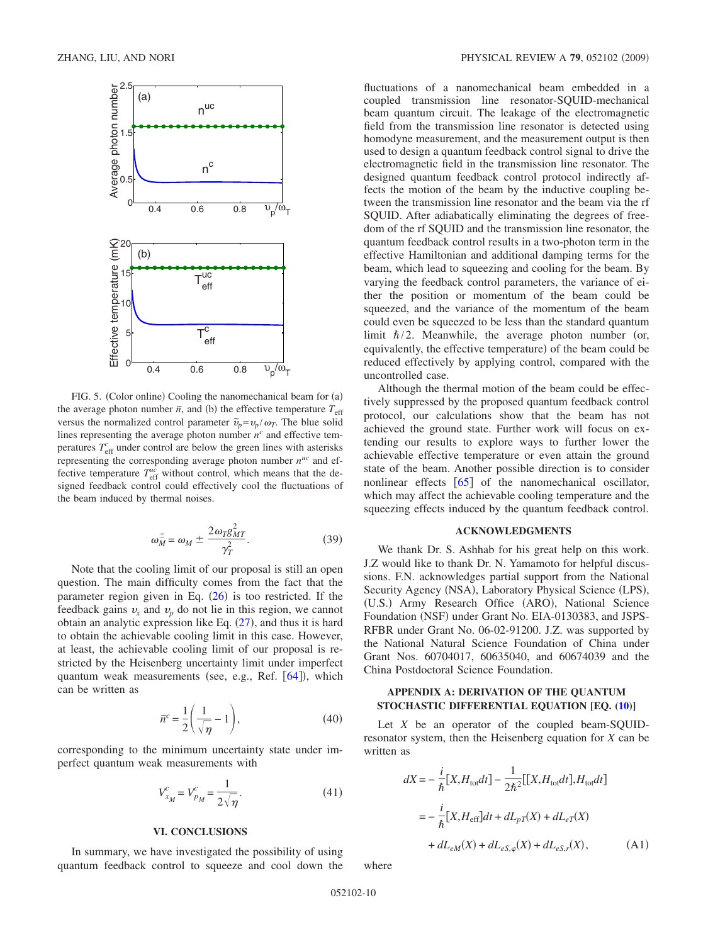<span id="page-9-1"></span>

FIG. 5. (Color online) Cooling the nanomechanical beam for (a) the average photon number  $\bar{n}$ , and (b) the effective temperature  $T_{\text{eff}}$ versus the normalized control parameter  $\tilde{v}_p = v_p / \omega_T$ . The blue solid lines representing the average photon number  $n<sup>c</sup>$  and effective temperatures  $T_{\text{eff}}^c$  under control are below the green lines with asterisks representing the corresponding average photon number *nuc* and effective temperature  $T_{\text{eff}}^{uc}$  without control, which means that the designed feedback control could effectively cool the fluctuations of the beam induced by thermal noises.

$$
\omega_M^{\pm} = \omega_M \pm \frac{2\omega_T g_{MT}^2}{\gamma_T^2}.
$$
 (39)

Note that the cooling limit of our proposal is still an open question. The main difficulty comes from the fact that the parameter region given in Eq.  $(26)$  $(26)$  $(26)$  is too restricted. If the feedback gains  $v_x$  and  $v_p$  do not lie in this region, we cannot obtain an analytic expression like Eq.  $(27)$  $(27)$  $(27)$ , and thus it is hard to obtain the achievable cooling limit in this case. However, at least, the achievable cooling limit of our proposal is restricted by the Heisenberg uncertainty limit under imperfect quantum weak measurements (see, e.g., Ref. [[64](#page-13-25)]), which can be written as

$$
\bar{n}^c = \frac{1}{2} \left( \frac{1}{\sqrt{\eta}} - 1 \right),\tag{40}
$$

corresponding to the minimum uncertainty state under imperfect quantum weak measurements with

$$
V_{x_M}^c = V_{p_M}^c = \frac{1}{2\sqrt{\eta}}.\t(41)
$$

#### **VI. CONCLUSIONS**

<span id="page-9-0"></span>In summary, we have investigated the possibility of using quantum feedback control to squeeze and cool down the fluctuations of a nanomechanical beam embedded in a coupled transmission line resonator-SQUID-mechanical beam quantum circuit. The leakage of the electromagnetic field from the transmission line resonator is detected using homodyne measurement, and the measurement output is then used to design a quantum feedback control signal to drive the electromagnetic field in the transmission line resonator. The designed quantum feedback control protocol indirectly affects the motion of the beam by the inductive coupling between the transmission line resonator and the beam via the rf SQUID. After adiabatically eliminating the degrees of freedom of the rf SQUID and the transmission line resonator, the quantum feedback control results in a two-photon term in the effective Hamiltonian and additional damping terms for the beam, which lead to squeezing and cooling for the beam. By varying the feedback control parameters, the variance of either the position or momentum of the beam could be squeezed, and the variance of the momentum of the beam could even be squeezed to be less than the standard quantum limit  $\hbar/2$ . Meanwhile, the average photon number (or, equivalently, the effective temperature) of the beam could be reduced effectively by applying control, compared with the uncontrolled case.

Although the thermal motion of the beam could be effectively suppressed by the proposed quantum feedback control protocol, our calculations show that the beam has not achieved the ground state. Further work will focus on extending our results to explore ways to further lower the achievable effective temperature or even attain the ground state of the beam. Another possible direction is to consider nonlinear effects  $\lceil 65 \rceil$  $\lceil 65 \rceil$  $\lceil 65 \rceil$  of the nanomechanical oscillator, which may affect the achievable cooling temperature and the squeezing effects induced by the quantum feedback control.

### **ACKNOWLEDGMENTS**

We thank Dr. S. Ashhab for his great help on this work. J.Z would like to thank Dr. N. Yamamoto for helpful discussions. F.N. acknowledges partial support from the National Security Agency (NSA), Laboratory Physical Science (LPS), (U.S.) Army Research Office (ARO), National Science Foundation (NSF) under Grant No. EIA-0130383, and JSPS-RFBR under Grant No. 06-02-91200. J.Z. was supported by the National Natural Science Foundation of China under Grant Nos. 60704017, 60635040, and 60674039 and the China Postdoctoral Science Foundation.

# **APPENDIX A: DERIVATION OF THE QUANTUM STOCHASTIC DIFFERENTIAL EQUATION [EQ. [\(10\)](#page-3-2)]**

Let *X* be an operator of the coupled beam-SQUIDresonator system, then the Heisenberg equation for *X* can be written as

<span id="page-9-2"></span>
$$
dX = -\frac{i}{\hbar}[X, H_{\text{tot}}dt] - \frac{1}{2\hbar^2}[[X, H_{\text{tot}}dt], H_{\text{tot}}dt]
$$

$$
= -\frac{i}{\hbar}[X, H_{\text{eff}}]dt + dL_{pT}(X) + dL_{eT}(X)
$$

$$
+ dL_{eM}(X) + dL_{eS, \varphi}(X) + dL_{eS, r}(X), \tag{A1}
$$

where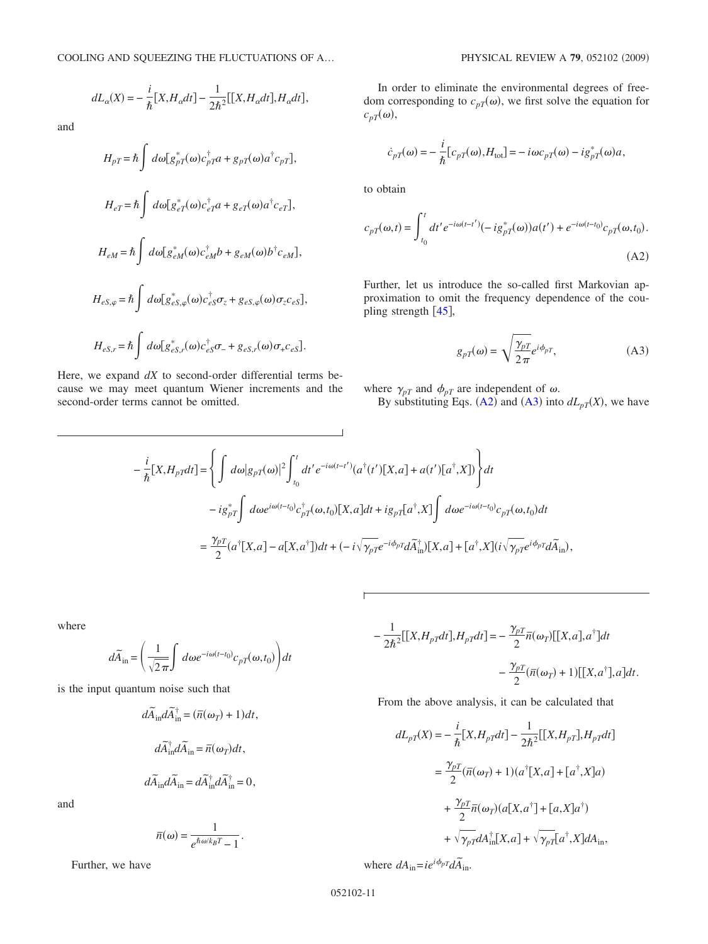$$
dL_{\alpha}(X) = -\frac{i}{\hbar}[X, H_{\alpha}dt] - \frac{1}{2\hbar^2}[[X, H_{\alpha}dt], H_{\alpha}dt],
$$

and

$$
H_{pT} = \hbar \int d\omega [g_{pT}^{*}(\omega)c_{pT}^{\dagger}a + g_{pT}(\omega)a^{\dagger}c_{pT}],
$$
  
\n
$$
H_{eT} = \hbar \int d\omega [g_{eT}^{*}(\omega)c_{eT}^{\dagger}a + g_{eT}(\omega)a^{\dagger}c_{eT}],
$$
  
\n
$$
H_{eM} = \hbar \int d\omega [g_{eM}^{*}(\omega)c_{eM}^{\dagger}b + g_{eM}(\omega)b^{\dagger}c_{eM}],
$$
  
\n
$$
H_{eS,\varphi} = \hbar \int d\omega [g_{eS,\varphi}^{*}(\omega)c_{eS}^{\dagger}\sigma_{z} + g_{eS,\varphi}(\omega)\sigma_{z}c_{eS}],
$$
  
\n
$$
H_{eS,r} = \hbar \int d\omega [g_{eS,r}^{*}(\omega)c_{eS}^{\dagger}\sigma_{z} + g_{eS,r}(\omega)\sigma_{+}c_{eS}].
$$

Here, we expand *dX* to second-order differential terms because we may meet quantum Wiener increments and the second-order terms cannot be omitted.

In order to eliminate the environmental degrees of freedom corresponding to  $c_{pT}(\omega)$ , we first solve the equation for  $c_{pT}(\omega)$ ,

$$
\dot{c}_{pT}(\omega) = -\frac{i}{\hbar} [c_{pT}(\omega), H_{\text{tot}}] = -i\omega c_{pT}(\omega) - ig_{pT}^*(\omega)a,
$$

to obtain

<span id="page-10-0"></span>
$$
c_{pT}(\omega, t) = \int_{t_0}^{t} dt' e^{-i\omega(t - t')} (-ig_{pT}^*(\omega)) a(t') + e^{-i\omega(t - t_0)} c_{pT}(\omega, t_0).
$$
\n(A2)

Further, let us introduce the so-called first Markovian approximation to omit the frequency dependence of the coupling strength  $[45]$  $[45]$  $[45]$ ,

$$
g_{pT}(\omega) = \sqrt{\frac{\gamma_{pT}}{2\pi}} e^{i\phi_{pT}},
$$
 (A3)

<span id="page-10-1"></span>where  $\gamma_{pT}$  and  $\phi_{pT}$  are independent of  $\omega$ .

By substituting Eqs. ([A2](#page-10-0)) and ([A3](#page-10-1)) into  $dL_{pT}(X)$ , we have

$$
-\frac{i}{\hbar}[X,H_{pT}dt] = \left\{\int d\omega |g_{pT}(\omega)|^2 \int_{t_0}^t dt' e^{-i\omega(t-t')} (a^{\dagger}(t')[X,a] + a(t')[a^{\dagger},X]) \right\} dt
$$
  

$$
-ig^*_{pT}\int d\omega e^{i\omega(t-t_0)} c^{\dagger}_{pT}(\omega,t_0)[X,a]dt + ig_{pT}[a^{\dagger},X]\int d\omega e^{-i\omega(t-t_0)} c_{pT}(\omega,t_0) dt
$$
  

$$
= \frac{\gamma_p}{2} (a^{\dagger}[X,a] - a[X,a^{\dagger}])dt + (-i\sqrt{\gamma_p T}e^{-i\phi_p T}d\widetilde{A}^{\dagger}_{\text{in}})[X,a] + [a^{\dagger},X](i\sqrt{\gamma_p T}e^{i\phi_p T}d\widetilde{A}_{\text{in}}),
$$

 $\overline{\phantom{0}}$ 

where

$$
d\widetilde{A}_{\rm in} = \left(\frac{1}{\sqrt{2\pi}} \int d\omega e^{-i\omega(t-t_0)} c_{pT}(\omega, t_0)\right) dt
$$

is the input quantum noise such that

$$
d\tilde{A}_{in}d\tilde{A}_{in}^{\dagger} = (\overline{n}(\omega_{T}) + 1)dt,
$$
  

$$
d\tilde{A}_{in}^{\dagger}d\tilde{A}_{in} = \overline{n}(\omega_{T})dt,
$$
  

$$
d\tilde{A}_{in}d\tilde{A}_{in} = d\tilde{A}_{in}^{\dagger}d\tilde{A}_{in}^{\dagger} = 0,
$$

and

$$
\overline{n}(\omega) = \frac{1}{e^{\hbar \omega / k_B T} - 1}.
$$

Further, we have

$$
-\frac{1}{2\hbar^2}[[X, H_{pT}dt], H_{pT}dt] = -\frac{\gamma_p}{2}\bar{n}(\omega_T)[[X, a], a^{\dagger}]dt
$$

$$
-\frac{\gamma_p}{2}(\bar{n}(\omega_T) + 1)[[X, a^{\dagger}], a]dt.
$$

From the above analysis, it can be calculated that

$$
dL_{pT}(X) = -\frac{i}{\hbar}[X, H_{pT}dt] - \frac{1}{2\hbar^2}[[X, H_{pT}], H_{pT}dt]
$$
  

$$
= \frac{\gamma_{pT}}{2}(\overline{n}(\omega_T) + 1)(a^{\dagger}[X, a] + [a^{\dagger}, X]a)
$$
  

$$
+ \frac{\gamma_{pT}}{2}\overline{n}(\omega_T)(a[X, a^{\dagger}] + [a, X]a^{\dagger})
$$
  

$$
+ \sqrt{\gamma_{pT}}dA^{\dagger}_{in}[X, a] + \sqrt{\gamma_{pT}}[a^{\dagger}, X]dA_{in},
$$

where  $dA_{in} = ie^{i\phi_p} \overline{dA}_{in}$ .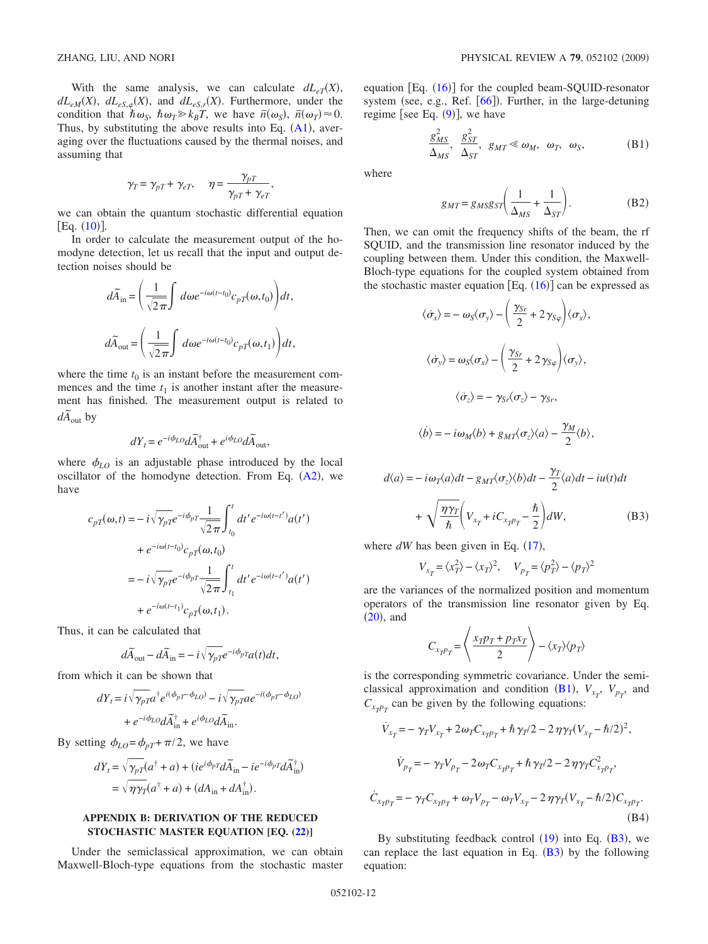With the same analysis, we can calculate  $dL_{eT}(X)$ ,  $dL_{eM}(X)$ ,  $dL_{eS,\varphi}(X)$ , and  $dL_{eS,r}(X)$ . Furthermore, under the condition that  $\hbar \omega_s$ ,  $\hbar \omega_T \gg k_B T$ , we have  $\bar{n}(\omega_s)$ ,  $\bar{n}(\omega_T) \approx 0$ . Thus, by substituting the above results into Eq.  $(A1)$  $(A1)$  $(A1)$ , averaging over the fluctuations caused by the thermal noises, and assuming that

$$
\gamma_T = \gamma_{pT} + \gamma_{eT}, \quad \eta = \frac{\gamma_{pT}}{\gamma_{pT} + \gamma_{eT}},
$$

we can obtain the quantum stochastic differential equation  $[Eq. (10)].$  $[Eq. (10)].$  $[Eq. (10)].$ 

In order to calculate the measurement output of the homodyne detection, let us recall that the input and output detection noises should be

$$
d\widetilde{A}_{\rm in} = \left(\frac{1}{\sqrt{2\pi}} \int d\omega e^{-i\omega(t-t_0)} c_{pT}(\omega, t_0)\right) dt,
$$
  

$$
d\widetilde{A}_{\rm out} = \left(\frac{1}{\sqrt{2\pi}} \int d\omega e^{-i\omega(t-t_0)} c_{pT}(\omega, t_1)\right) dt,
$$

where the time  $t_0$  is an instant before the measurement commences and the time  $t_1$  is another instant after the measurement has finished. The measurement output is related to  $d\tilde{A}_{out}$  by

$$
dY_t = e^{-i\phi_{LO}}d\widetilde{A}_{\text{out}}^{\dagger} + e^{i\phi_{LO}}d\widetilde{A}_{\text{out}},
$$

where  $\phi_{LO}$  is an adjustable phase introduced by the local oscillator of the homodyne detection. From Eq.  $(A2)$  $(A2)$  $(A2)$ , we have

$$
c_{pT}(\omega, t) = -i\sqrt{\gamma_{pT}}e^{-i\phi_{pT}}\frac{1}{\sqrt{2\pi}}\int_{t_0}^t dt' e^{-i\omega(t-t')}a(t')
$$
  
+ 
$$
e^{-i\omega(t-t_0)}c_{pT}(\omega, t_0)
$$
  
= 
$$
-i\sqrt{\gamma_{pT}}e^{-i\phi_{pT}}\frac{1}{\sqrt{2\pi}}\int_{t_1}^t dt' e^{-i\omega(t-t')}a(t')
$$
  
+ 
$$
e^{-i\omega(t-t_1)}c_{pT}(\omega, t_1).
$$

Thus, it can be calculated that

$$
d\widetilde{A}_{\rm out}-d\widetilde{A}_{\rm in}=-i\sqrt{\gamma_{pT}}e^{-i\phi_{pT}}a(t)dt,
$$

from which it can be shown that

$$
\begin{split} dY_t = i\sqrt{\gamma_{pT}}a^\dagger e^{i(\phi_{pT}-\phi_{LO})} - i\sqrt{\gamma_{pT}}ae^{-i(\phi_{pT}-\phi_{LO})} \\ + e^{-i\phi_{LO}}d\widetilde{A}^\dagger_{\rm in} + e^{i\phi_{LO}}d\widetilde{A}_{\rm in}. \end{split}
$$

By setting  $\phi_{LO} = \phi_{pT} + \pi/2$ , we have

$$
dY_t = \sqrt{\gamma_{pT}}(a^{\dagger} + a) + (ie^{i\phi_p} \tilde{dA}_{\text{in}} - ie^{-i\phi_p} \tilde{dA}_{\text{in}}^{\dagger})
$$
  
=  $\sqrt{\eta \gamma_T}(a^{\dagger} + a) + (dA_{\text{in}} + dA_{\text{in}}^{\dagger}).$ 

# **APPENDIX B: DERIVATION OF THE REDUCED STOCHASTIC MASTER EQUATION [EQ. [\(22\)](#page-5-4)]**

Under the semiclassical approximation, we can obtain Maxwell-Bloch-type equations from the stochastic master equation [Eq. ([16](#page-4-3))] for the coupled beam-SQUID-resonator system (see, e.g., Ref. [[66](#page-13-27)]). Further, in the large-detuning regime [see Eq.  $(9)$  $(9)$  $(9)$ ], we have

$$
\frac{g_{MS}^2}{\Delta_{MS}}, \frac{g_{ST}^2}{\Delta_{ST}}, g_{MT} \ll \omega_M, \omega_T, \omega_S,
$$
 (B1)

<span id="page-11-3"></span>where

$$
g_{MT} = g_{MS}g_{ST} \bigg(\frac{1}{\Delta_{MS}} + \frac{1}{\Delta_{ST}}\bigg). \tag{B2}
$$

<span id="page-11-2"></span>Then, we can omit the frequency shifts of the beam, the rf SQUID, and the transmission line resonator induced by the coupling between them. Under this condition, the Maxwell-Bloch-type equations for the coupled system obtained from the stochastic master equation  $[Eq. (16)]$  $[Eq. (16)]$  $[Eq. (16)]$  can be expressed as

<span id="page-11-0"></span>
$$
\langle \dot{\sigma}_x \rangle = -\omega_S \langle \sigma_y \rangle - \left( \frac{\gamma_{Sr}}{2} + 2 \gamma_{S\varphi} \right) \langle \sigma_x \rangle,
$$
  

$$
\langle \dot{\sigma}_y \rangle = \omega_S \langle \sigma_x \rangle - \left( \frac{\gamma_{Sr}}{2} + 2 \gamma_{S\varphi} \right) \langle \sigma_y \rangle,
$$
  

$$
\langle \dot{\sigma}_z \rangle = -\gamma_{Sr} \langle \sigma_z \rangle - \gamma_{Sr},
$$
  

$$
\langle \dot{\phi} \rangle = -i\omega_M \langle \phi \rangle + g_{MT} \langle \sigma_z \rangle \langle a \rangle - \frac{\gamma_M}{2} \langle b \rangle,
$$

$$
d\langle a \rangle = -i\omega_T \langle a \rangle dt - g_{MT} \langle \sigma_z \rangle \langle b \rangle dt - \frac{\gamma_T}{2} \langle a \rangle dt - iu(t)dt
$$

$$
+ \sqrt{\frac{\eta \gamma_T}{\hbar}} \Big( V_{x_T} + iC_{x_T p_T} - \frac{\hbar}{2} \Big) dW, \tag{B3}
$$

where  $dW$  has been given in Eq.  $(17)$  $(17)$  $(17)$ ,

$$
V_{x_T} = \langle x_T^2 \rangle - \langle x_T \rangle^2, \quad V_{p_T} = \langle p_T^2 \rangle - \langle p_T \rangle^2
$$

are the variances of the normalized position and momentum operators of the transmission line resonator given by Eq.  $(20)$  $(20)$  $(20)$ , and

$$
C_{x_T p_T} = \left\langle \frac{x_T p_T + p_T x_T}{2} \right\rangle - \langle x_T \rangle \langle p_T \rangle
$$

is the corresponding symmetric covariance. Under the semi-classical approximation and condition ([B1](#page-11-3)),  $V_{x_T}$ ,  $V_{p_T}$ , and  $C_{x_{T}p_{T}}$  can be given by the following equations:

<span id="page-11-1"></span>
$$
\dot{V}_{x_T} = -\gamma_T V_{x_T} + 2\omega_T C_{x_T p_T} + \hbar \gamma_T / 2 - 2\eta \gamma_T (V_{x_T} - \hbar / 2)^2,
$$
\n
$$
\dot{V}_{p_T} = -\gamma_T V_{p_T} - 2\omega_T C_{x_T p_T} + \hbar \gamma_T / 2 - 2\eta \gamma_T C_{x_T p_T}^2,
$$
\n
$$
\dot{C}_{x_T p_T} = -\gamma_T C_{x_T p_T} + \omega_T V_{p_T} - \omega_T V_{x_T} - 2\eta \gamma_T (V_{x_T} - \hbar / 2) C_{x_T p_T}.
$$
\n(B4)

By substituting feedback control  $(19)$  $(19)$  $(19)$  into Eq.  $(B3)$  $(B3)$  $(B3)$ , we can replace the last equation in Eq.  $(B3)$  $(B3)$  $(B3)$  by the following equation: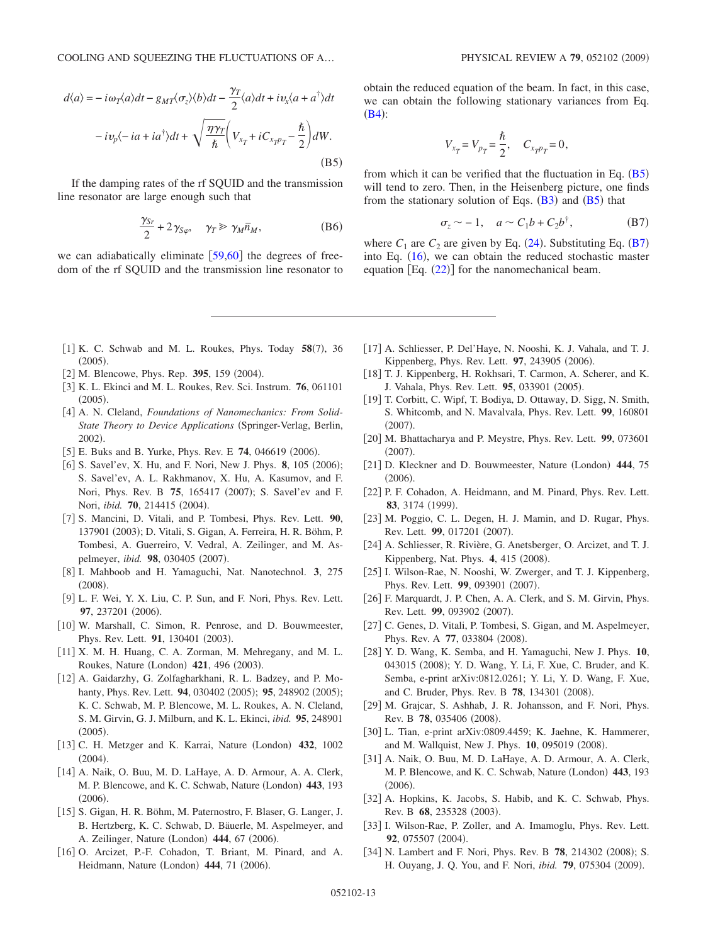<span id="page-12-18"></span>
$$
d\langle a \rangle = -i\omega_T \langle a \rangle dt - g_{MT} \langle \sigma_z \rangle \langle b \rangle dt - \frac{\gamma_T}{2} \langle a \rangle dt + i v_x \langle a + a^{\dagger} \rangle dt
$$

$$
-i v_p \langle -ia + ia^{\dagger} \rangle dt + \sqrt{\frac{\eta \gamma_T}{\hbar}} \Big( V_{x_T} + i C_{x_T p_T} - \frac{\hbar}{2} \Big) dW.
$$
(B5)

If the damping rates of the rf SQUID and the transmission line resonator are large enough such that

$$
\frac{\gamma_{Sr}}{2} + 2\gamma_{S\varphi}, \quad \gamma_T \gg \gamma_M \bar{n}_M, \tag{B6}
$$

we can adiabatically eliminate  $\lceil 59,60 \rceil$  $\lceil 59,60 \rceil$  $\lceil 59,60 \rceil$  $\lceil 59,60 \rceil$  the degrees of freedom of the rf SQUID and the transmission line resonator to obtain the reduced equation of the beam. In fact, in this case, we can obtain the following stationary variances from Eq.  $(B4):$  $(B4):$  $(B4):$ 

$$
V_{x_T} = V_{p_T} = \frac{\hbar}{2}, \quad C_{x_{T}p_T} = 0,
$$

from which it can be verified that the fluctuation in Eq.  $(B5)$  $(B5)$  $(B5)$ will tend to zero. Then, in the Heisenberg picture, one finds from the stationary solution of Eqs.  $(B3)$  $(B3)$  $(B3)$  and  $(B5)$  $(B5)$  $(B5)$  that

$$
\sigma_z \sim -1, \quad a \sim C_1 b + C_2 b^{\dagger}, \tag{B7}
$$

<span id="page-12-19"></span>where  $C_1$  are  $C_2$  are given by Eq. ([24](#page-5-6)). Substituting Eq. ([B7](#page-12-19)) into Eq.  $(16)$  $(16)$  $(16)$ , we can obtain the reduced stochastic master equation  $[Eq. (22)]$  $[Eq. (22)]$  $[Eq. (22)]$  for the nanomechanical beam.

- [1] K. C. Schwab and M. L. Roukes, Phys. Today 58(7), 36  $(2005).$
- <span id="page-12-0"></span>[2] M. Blencowe, Phys. Rep. **395**, 159 (2004).
- 3 K. L. Ekinci and M. L. Roukes, Rev. Sci. Instrum. **76**, 061101  $(2005).$
- <span id="page-12-3"></span>[4] A. N. Cleland, *Foundations of Nanomechanics: From Solid-State Theory to Device Applications* (Springer-Verlag, Berlin, 2002).
- [5] E. Buks and B. Yurke, Phys. Rev. E 74, 046619 (2006).
- [6] S. Savel'ev, X. Hu, and F. Nori, New J. Phys. 8, 105 (2006); S. Savel'ev, A. L. Rakhmanov, X. Hu, A. Kasumov, and F. Nori, Phys. Rev. B 75, 165417 (2007); S. Savel'ev and F. Nori, *ibid.* **70**, 214415 (2004).
- 7 S. Mancini, D. Vitali, and P. Tombesi, Phys. Rev. Lett. **90**, 137901 (2003); D. Vitali, S. Gigan, A. Ferreira, H. R. Böhm, P. Tombesi, A. Guerreiro, V. Vedral, A. Zeilinger, and M. Aspelmeyer, *ibid.* 98, 030405 (2007).
- 8 I. Mahboob and H. Yamaguchi, Nat. Nanotechnol. **3**, 275  $(2008).$
- 9 L. F. Wei, Y. X. Liu, C. P. Sun, and F. Nori, Phys. Rev. Lett. **97**, 237201 (2006).
- [10] W. Marshall, C. Simon, R. Penrose, and D. Bouwmeester, Phys. Rev. Lett. **91**, 130401 (2003).
- <span id="page-12-2"></span>[11] X. M. H. Huang, C. A. Zorman, M. Mehregany, and M. L. Roukes, Nature (London) 421, 496 (2003).
- <span id="page-12-5"></span><span id="page-12-4"></span>[12] A. Gaidarzhy, G. Zolfagharkhani, R. L. Badzey, and P. Mohanty, Phys. Rev. Lett. **94**, 030402 (2005); **95**, 248902 (2005); K. C. Schwab, M. P. Blencowe, M. L. Roukes, A. N. Cleland, S. M. Girvin, G. J. Milburn, and K. L. Ekinci, *ibid.* **95**, 248901  $(2005).$
- [13] C. H. Metzger and K. Karrai, Nature (London) 432, 1002  $(2004).$
- <span id="page-12-10"></span><span id="page-12-6"></span>[14] A. Naik, O. Buu, M. D. LaHaye, A. D. Armour, A. A. Clerk, M. P. Blencowe, and K. C. Schwab, Nature (London) 443, 193  $(2006).$
- 15 S. Gigan, H. R. Böhm, M. Paternostro, F. Blaser, G. Langer, J. B. Hertzberg, K. C. Schwab, D. Bäuerle, M. Aspelmeyer, and A. Zeilinger, Nature (London) 444, 67 (2006).
- [16] O. Arcizet, P.-F. Cohadon, T. Briant, M. Pinard, and A. Heidmann, Nature (London) 444, 71 (2006).
- 17 A. Schliesser, P. Del'Haye, N. Nooshi, K. J. Vahala, and T. J. Kippenberg, Phys. Rev. Lett. 97, 243905 (2006).
- [18] T. J. Kippenberg, H. Rokhsari, T. Carmon, A. Scherer, and K. J. Vahala, Phys. Rev. Lett. **95**, 033901 (2005).
- 19 T. Corbitt, C. Wipf, T. Bodiya, D. Ottaway, D. Sigg, N. Smith, S. Whitcomb, and N. Mavalvala, Phys. Rev. Lett. **99**, 160801  $(2007).$
- 20 M. Bhattacharya and P. Meystre, Phys. Rev. Lett. **99**, 073601  $(2007).$
- <span id="page-12-8"></span>[21] D. Kleckner and D. Bouwmeester, Nature (London) 444, 75  $(2006).$
- <span id="page-12-9"></span>[22] P. F. Cohadon, A. Heidmann, and M. Pinard, Phys. Rev. Lett. **83**, 3174 (1999).
- [23] M. Poggio, C. L. Degen, H. J. Mamin, and D. Rugar, Phys. Rev. Lett. **99**, 017201 (2007).
- <span id="page-12-7"></span>[24] A. Schliesser, R. Rivière, G. Anetsberger, O. Arcizet, and T. J. Kippenberg, Nat. Phys. 4, 415 (2008).
- <span id="page-12-11"></span>[25] I. Wilson-Rae, N. Nooshi, W. Zwerger, and T. J. Kippenberg, Phys. Rev. Lett. 99, 093901 (2007).
- [26] F. Marquardt, J. P. Chen, A. A. Clerk, and S. M. Girvin, Phys. Rev. Lett. 99, 093902 (2007).
- [27] C. Genes, D. Vitali, P. Tombesi, S. Gigan, and M. Aspelmeyer, Phys. Rev. A **77**, 033804 (2008).
- <span id="page-12-13"></span><span id="page-12-12"></span>28 Y. D. Wang, K. Semba, and H. Yamaguchi, New J. Phys. **10**, 043015 (2008); Y. D. Wang, Y. Li, F. Xue, C. Bruder, and K. Semba, e-print arXiv:0812.0261; Y. Li, Y. D. Wang, F. Xue, and C. Bruder, Phys. Rev. B 78, 134301 (2008).
- [29] M. Grajcar, S. Ashhab, J. R. Johansson, and F. Nori, Phys. Rev. B 78, 035406 (2008).
- [30] L. Tian, e-print arXiv:0809.4459; K. Jaehne, K. Hammerer, and M. Wallquist, New J. Phys. **10**, 095019 (2008).
- <span id="page-12-15"></span><span id="page-12-14"></span>31 A. Naik, O. Buu, M. D. LaHaye, A. D. Armour, A. A. Clerk, M. P. Blencowe, and K. C. Schwab, Nature (London) 443, 193  $(2006).$
- [32] A. Hopkins, K. Jacobs, S. Habib, and K. C. Schwab, Phys. Rev. B 68, 235328 (2003).
- <span id="page-12-16"></span>[33] I. Wilson-Rae, P. Zoller, and A. Imamoglu, Phys. Rev. Lett. 92, 075507 (2004).
- <span id="page-12-17"></span><span id="page-12-1"></span>[34] N. Lambert and F. Nori, Phys. Rev. B 78, 214302 (2008); S. H. Ouyang, J. Q. You, and F. Nori, *ibid.* **79**, 075304 (2009).